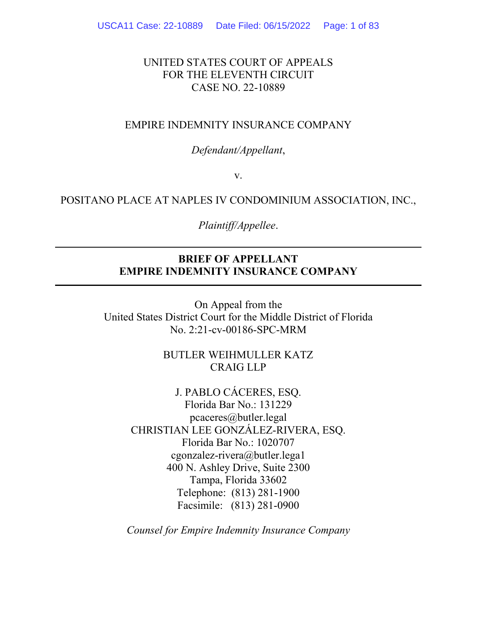# UNITED STATES COURT OF APPEALS FOR THE ELEVENTH CIRCUIT CASE NO. 22-10889

### EMPIRE INDEMNITY INSURANCE COMPANY

### *Defendant/Appellant*,

v.

### POSITANO PLACE AT NAPLES IV CONDOMINIUM ASSOCIATION, INC.,

#### *Plaintiff/Appellee*.

# **BRIEF OF APPELLANT EMPIRE INDEMNITY INSURANCE COMPANY**

On Appeal from the United States District Court for the Middle District of Florida No. 2:21-cv-00186-SPC-MRM

> BUTLER WEIHMULLER KATZ CRAIG LLP

J. PABLO CÁCERES, ESQ. Florida Bar No.: 131229 pcaceres@butler.legal CHRISTIAN LEE GONZÁLEZ-RIVERA, ESQ. Florida Bar No.: 1020707 cgonzalez-rivera@butler.lega1 400 N. Ashley Drive, Suite 2300 Tampa, Florida 33602 Telephone: (813) 281-1900 Facsimile: (813) 281-0900

*Counsel for Empire Indemnity Insurance Company*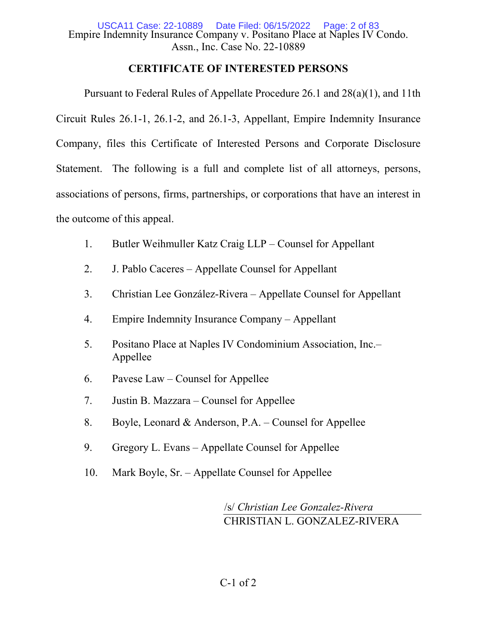Empire Indemnity Insurance Company v. Positano Place at Naples IV Condo. Assn., Inc. Case No. 22-10889 USCA11 Case: 22-10889

# **CERTIFICATE OF INTERESTED PERSONS**

Pursuant to Federal Rules of Appellate Procedure 26.1 and 28(a)(1), and 11th Circuit Rules 26.1-1, 26.1-2, and 26.1-3, Appellant, Empire Indemnity Insurance Company, files this Certificate of Interested Persons and Corporate Disclosure Statement. The following is a full and complete list of all attorneys, persons, associations of persons, firms, partnerships, or corporations that have an interest in the outcome of this appeal.

- 1. Butler Weihmuller Katz Craig LLP Counsel for Appellant
- 2. J. Pablo Caceres Appellate Counsel for Appellant
- 3. Christian Lee González-Rivera Appellate Counsel for Appellant
- 4. Empire Indemnity Insurance Company Appellant
- 5. Positano Place at Naples IV Condominium Association, Inc.– Appellee
- 6. Pavese Law Counsel for Appellee
- 7. Justin B. Mazzara Counsel for Appellee
- 8. Boyle, Leonard & Anderson, P.A. Counsel for Appellee
- 9. Gregory L. Evans Appellate Counsel for Appellee
- 10. Mark Boyle, Sr. Appellate Counsel for Appellee

/s/ *Christian Lee Gonzalez-Rivera* CHRISTIAN L. GONZALEZ-RIVERA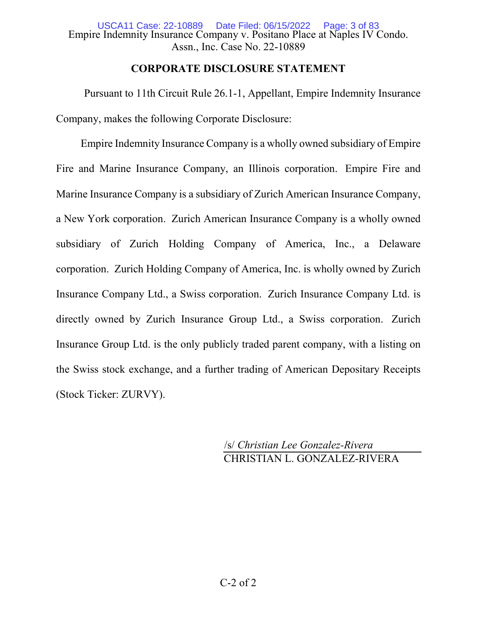# **CORPORATE DISCLOSURE STATEMENT**

Pursuant to 11th Circuit Rule 26.1-1, Appellant, Empire Indemnity Insurance Company, makes the following Corporate Disclosure:

Empire Indemnity Insurance Company is a wholly owned subsidiary of Empire Fire and Marine Insurance Company, an Illinois corporation. Empire Fire and Marine Insurance Company is a subsidiary of Zurich American Insurance Company, a New York corporation. Zurich American Insurance Company is a wholly owned subsidiary of Zurich Holding Company of America, Inc., a Delaware corporation. Zurich Holding Company of America, Inc. is wholly owned by Zurich Insurance Company Ltd., a Swiss corporation. Zurich Insurance Company Ltd. is directly owned by Zurich Insurance Group Ltd., a Swiss corporation. Zurich Insurance Group Ltd. is the only publicly traded parent company, with a listing on the Swiss stock exchange, and a further trading of American Depositary Receipts (Stock Ticker: ZURVY).

> /s/ *Christian Lee Gonzalez-Rivera* CHRISTIAN L. GONZALEZ-RIVERA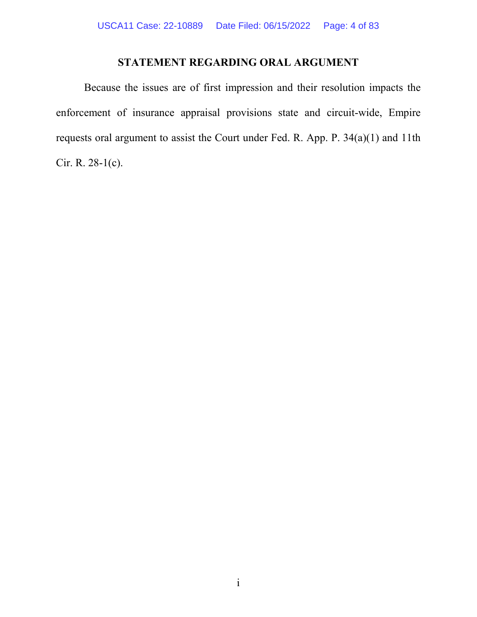# **STATEMENT REGARDING ORAL ARGUMENT**

Because the issues are of first impression and their resolution impacts the enforcement of insurance appraisal provisions state and circuit-wide, Empire requests oral argument to assist the Court under Fed. R. App. P. 34(a)(1) and 11th Cir. R. 28-1(c).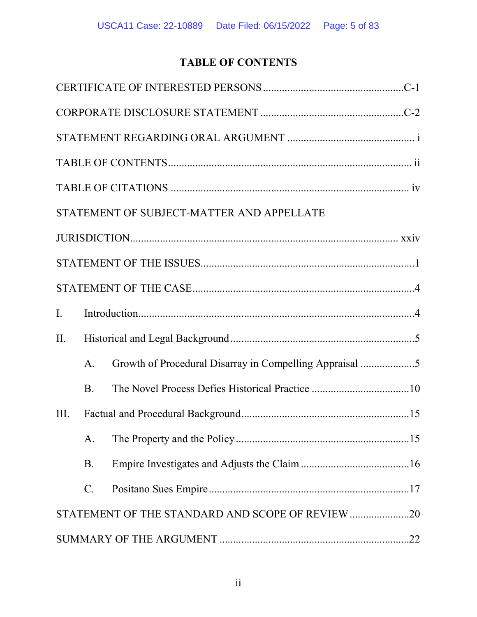# **TABLE OF CONTENTS**

|      |                 | STATEMENT OF SUBJECT-MATTER AND APPELLATE               |  |
|------|-----------------|---------------------------------------------------------|--|
|      |                 |                                                         |  |
|      |                 |                                                         |  |
|      |                 |                                                         |  |
| I.   |                 |                                                         |  |
| II.  |                 |                                                         |  |
|      | A.              | Growth of Procedural Disarray in Compelling Appraisal 5 |  |
|      | <b>B.</b>       |                                                         |  |
| III. |                 |                                                         |  |
|      | A.              |                                                         |  |
|      | <b>B.</b>       |                                                         |  |
|      | $\mathcal{C}$ . |                                                         |  |
|      |                 | STATEMENT OF THE STANDARD AND SCOPE OF REVIEW20         |  |
|      |                 |                                                         |  |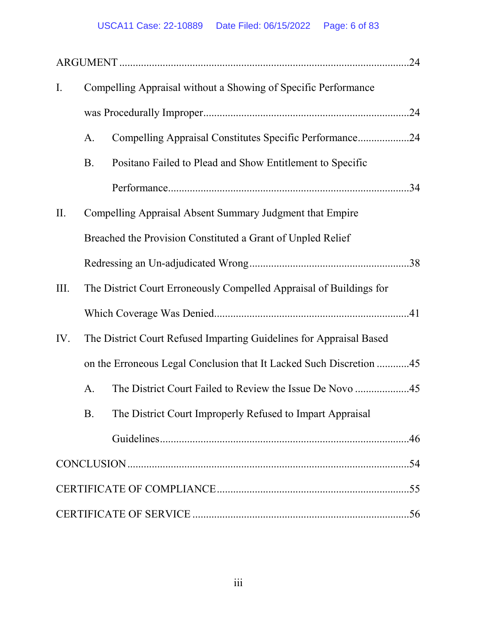| $\mathbf{I}$ . | Compelling Appraisal without a Showing of Specific Performance |                                                                     |  |
|----------------|----------------------------------------------------------------|---------------------------------------------------------------------|--|
|                |                                                                |                                                                     |  |
|                | A.                                                             | Compelling Appraisal Constitutes Specific Performance24             |  |
|                | <b>B.</b>                                                      | Positano Failed to Plead and Show Entitlement to Specific           |  |
|                |                                                                |                                                                     |  |
| II.            |                                                                | Compelling Appraisal Absent Summary Judgment that Empire            |  |
|                |                                                                | Breached the Provision Constituted a Grant of Unpled Relief         |  |
|                |                                                                |                                                                     |  |
| III.           |                                                                | The District Court Erroneously Compelled Appraisal of Buildings for |  |
|                |                                                                |                                                                     |  |
| IV.            |                                                                | The District Court Refused Imparting Guidelines for Appraisal Based |  |
|                |                                                                | on the Erroneous Legal Conclusion that It Lacked Such Discretion 45 |  |
|                | A.                                                             |                                                                     |  |
|                | <b>B.</b>                                                      | The District Court Improperly Refused to Impart Appraisal           |  |
|                |                                                                |                                                                     |  |
|                |                                                                |                                                                     |  |
|                |                                                                |                                                                     |  |
|                |                                                                |                                                                     |  |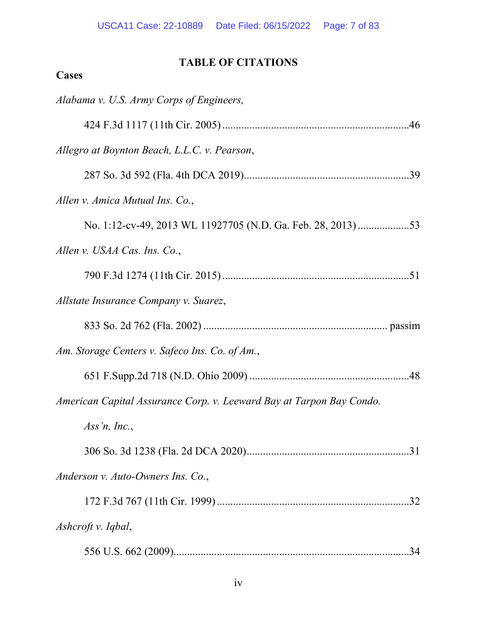# **TABLE OF CITATIONS**

# **Cases**

| Alabama v. U.S. Army Corps of Engineers,                             |
|----------------------------------------------------------------------|
|                                                                      |
| Allegro at Boynton Beach, L.L.C. v. Pearson,                         |
|                                                                      |
| Allen v. Amica Mutual Ins. Co.,                                      |
|                                                                      |
| Allen v. USAA Cas. Ins. Co.,                                         |
|                                                                      |
| Allstate Insurance Company v. Suarez,                                |
|                                                                      |
| Am. Storage Centers v. Safeco Ins. Co. of Am.,                       |
|                                                                      |
| American Capital Assurance Corp. v. Leeward Bay at Tarpon Bay Condo. |
| Ass'n, Inc.,                                                         |
|                                                                      |
| Anderson v. Auto-Owners Ins. Co.,                                    |
|                                                                      |
| Ashcroft v. Iqbal,                                                   |
| .34                                                                  |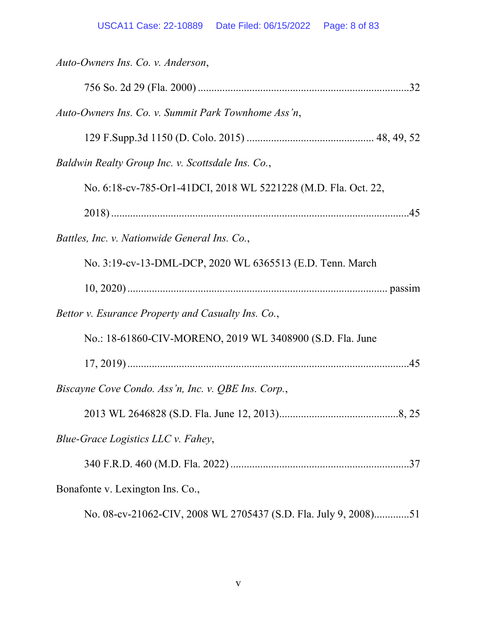| Auto-Owners Ins. Co. v. Anderson,                               |
|-----------------------------------------------------------------|
|                                                                 |
| Auto-Owners Ins. Co. v. Summit Park Townhome Ass'n,             |
|                                                                 |
| Baldwin Realty Group Inc. v. Scottsdale Ins. Co.,               |
| No. 6:18-cv-785-Or1-41DCI, 2018 WL 5221228 (M.D. Fla. Oct. 22,  |
|                                                                 |
| Battles, Inc. v. Nationwide General Ins. Co.,                   |
| No. 3:19-cv-13-DML-DCP, 2020 WL 6365513 (E.D. Tenn. March       |
|                                                                 |
| Bettor v. Esurance Property and Casualty Ins. Co.,              |
| No.: 18-61860-CIV-MORENO, 2019 WL 3408900 (S.D. Fla. June       |
|                                                                 |
| Biscayne Cove Condo. Ass'n, Inc. v. QBE Ins. Corp.,             |
|                                                                 |
| Blue-Grace Logistics LLC v. Fahey,                              |
|                                                                 |
| Bonafonte v. Lexington Ins. Co.,                                |
| No. 08-cv-21062-CIV, 2008 WL 2705437 (S.D. Fla. July 9, 2008)51 |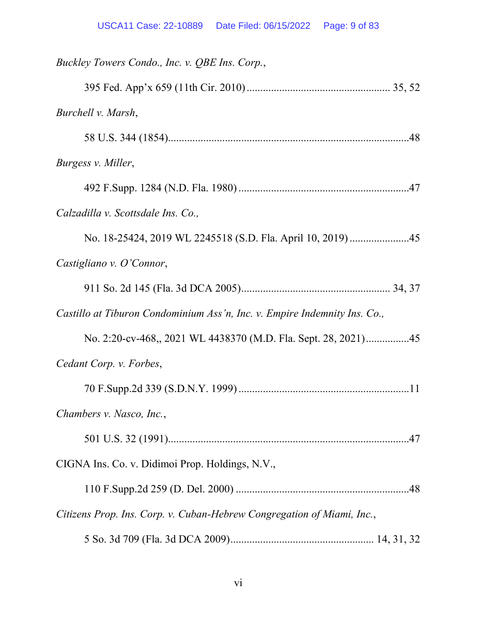| Buckley Towers Condo., Inc. v. QBE Ins. Corp.,                            |
|---------------------------------------------------------------------------|
|                                                                           |
| Burchell v. Marsh,                                                        |
|                                                                           |
| Burgess v. Miller,                                                        |
|                                                                           |
| Calzadilla v. Scottsdale Ins. Co.,                                        |
|                                                                           |
| Castigliano v. O'Connor,                                                  |
|                                                                           |
| Castillo at Tiburon Condominium Ass'n, Inc. v. Empire Indemnity Ins. Co., |
| No. 2:20-cv-468, 2021 WL 4438370 (M.D. Fla. Sept. 28, 2021)45             |
| Cedant Corp. v. Forbes,                                                   |
|                                                                           |
| Chambers v. Nasco, Inc.,                                                  |
|                                                                           |
| CIGNA Ins. Co. v. Didimoi Prop. Holdings, N.V.,                           |
|                                                                           |
| Citizens Prop. Ins. Corp. v. Cuban-Hebrew Congregation of Miami, Inc.,    |
|                                                                           |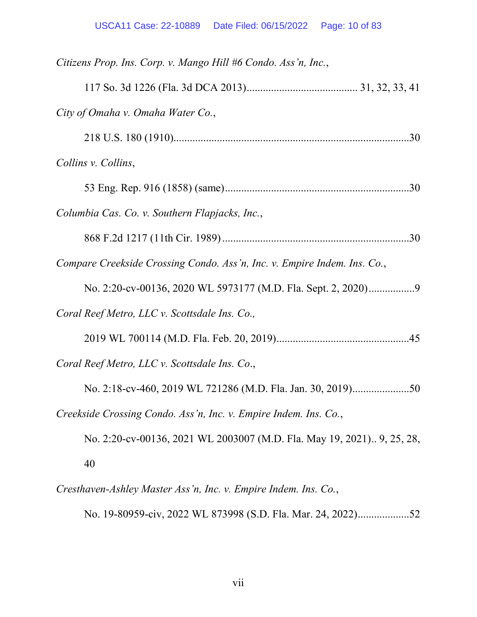| Citizens Prop. Ins. Corp. v. Mango Hill #6 Condo. Ass'n, Inc.,           |
|--------------------------------------------------------------------------|
|                                                                          |
| City of Omaha v. Omaha Water Co.,                                        |
|                                                                          |
| Collins v. Collins,                                                      |
|                                                                          |
| Columbia Cas. Co. v. Southern Flapjacks, Inc.,                           |
|                                                                          |
| Compare Creekside Crossing Condo. Ass'n, Inc. v. Empire Indem. Ins. Co., |
|                                                                          |
| Coral Reef Metro, LLC v. Scottsdale Ins. Co.,                            |
|                                                                          |
| Coral Reef Metro, LLC v. Scottsdale Ins. Co.,                            |
| No. 2:18-cv-460, 2019 WL 721286 (M.D. Fla. Jan. 30, 2019)50              |
| Creekside Crossing Condo. Ass'n, Inc. v. Empire Indem. Ins. Co.,         |
| No. 2:20-cv-00136, 2021 WL 2003007 (M.D. Fla. May 19, 2021) 9, 25, 28,   |
| 40                                                                       |
|                                                                          |

*Cresthaven-Ashley Master Ass'n, Inc. v. Empire Indem. Ins. Co.*,

No. 19-80959-civ, 2022 WL 873998 (S.D. Fla. Mar. 24, 2022) ...................52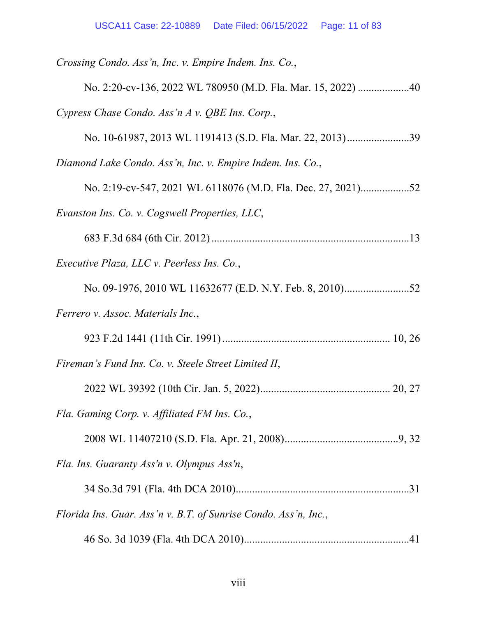| Crossing Condo. Ass'n, Inc. v. Empire Indem. Ins. Co.,          |
|-----------------------------------------------------------------|
| No. 2:20-cv-136, 2022 WL 780950 (M.D. Fla. Mar. 15, 2022) 40    |
| Cypress Chase Condo. Ass'n A v. QBE Ins. Corp.,                 |
| No. 10-61987, 2013 WL 1191413 (S.D. Fla. Mar. 22, 2013)39       |
| Diamond Lake Condo. Ass'n, Inc. v. Empire Indem. Ins. Co.,      |
| No. 2:19-cv-547, 2021 WL 6118076 (M.D. Fla. Dec. 27, 2021)52    |
| Evanston Ins. Co. v. Cogswell Properties, LLC,                  |
|                                                                 |
| <i>Executive Plaza, LLC v. Peerless Ins. Co.,</i>               |
|                                                                 |
| Ferrero v. Assoc. Materials Inc.,                               |
|                                                                 |
| Fireman's Fund Ins. Co. v. Steele Street Limited II,            |
|                                                                 |
| Fla. Gaming Corp. v. Affiliated FM Ins. Co.,                    |
|                                                                 |
| Fla. Ins. Guaranty Ass'n v. Olympus Ass'n,                      |
|                                                                 |
| Florida Ins. Guar. Ass'n v. B.T. of Sunrise Condo. Ass'n, Inc., |
|                                                                 |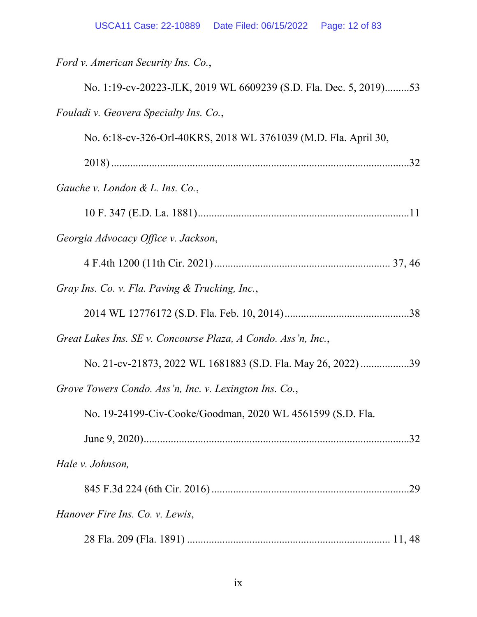*Ford v. American Security Ins. Co.*,

| No. 1:19-cv-20223-JLK, 2019 WL 6609239 (S.D. Fla. Dec. 5, 2019)53 |
|-------------------------------------------------------------------|
| Fouladi v. Geovera Specialty Ins. Co.,                            |
| No. 6:18-cv-326-Orl-40KRS, 2018 WL 3761039 (M.D. Fla. April 30,   |
|                                                                   |
| Gauche v. London & L. Ins. Co.,                                   |
|                                                                   |
| Georgia Advocacy Office v. Jackson,                               |
|                                                                   |
| Gray Ins. Co. v. Fla. Paving & Trucking, Inc.,                    |
|                                                                   |
| Great Lakes Ins. SE v. Concourse Plaza, A Condo. Ass'n, Inc.,     |
| No. 21-cv-21873, 2022 WL 1681883 (S.D. Fla. May 26, 2022)39       |
| Grove Towers Condo. Ass'n, Inc. v. Lexington Ins. Co.,            |
| No. 19-24199-Civ-Cooke/Goodman, 2020 WL 4561599 (S.D. Fla.        |
| .32                                                               |
| Hale v. Johnson,                                                  |
|                                                                   |
| Hanover Fire Ins. Co. v. Lewis,                                   |
|                                                                   |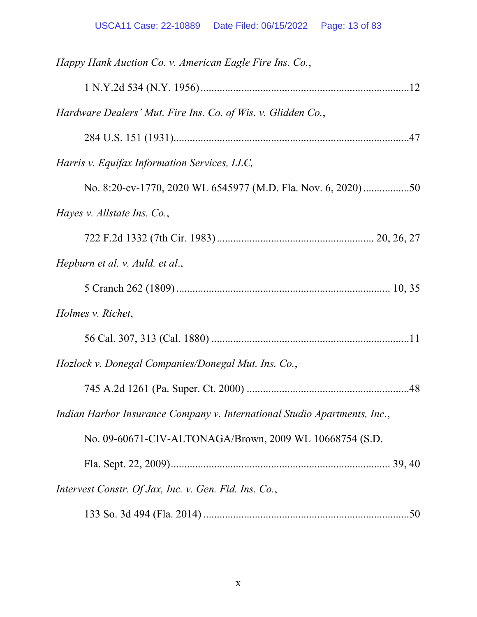| Happy Hank Auction Co. v. American Eagle Fire Ins. Co.,                   |
|---------------------------------------------------------------------------|
|                                                                           |
| Hardware Dealers' Mut. Fire Ins. Co. of Wis. v. Glidden Co.,              |
|                                                                           |
| Harris v. Equifax Information Services, LLC,                              |
|                                                                           |
| Hayes v. Allstate Ins. Co.,                                               |
|                                                                           |
| Hepburn et al. v. Auld. et al.,                                           |
|                                                                           |
| Holmes v. Richet,                                                         |
|                                                                           |
| Hozlock v. Donegal Companies/Donegal Mut. Ins. Co.,                       |
|                                                                           |
| Indian Harbor Insurance Company v. International Studio Apartments, Inc., |
| No. 09-60671-CIV-ALTONAGA/Brown, 2009 WL 10668754 (S.D.                   |
|                                                                           |
| Intervest Constr. Of Jax, Inc. v. Gen. Fid. Ins. Co.,                     |
|                                                                           |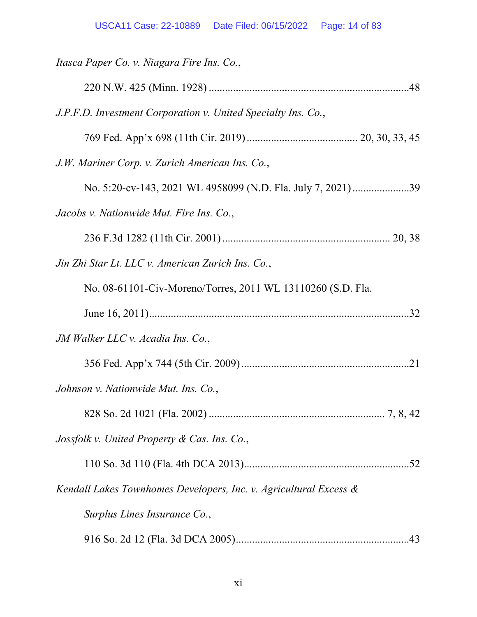| Itasca Paper Co. v. Niagara Fire Ins. Co.,                        |
|-------------------------------------------------------------------|
|                                                                   |
| J.P.F.D. Investment Corporation v. United Specialty Ins. Co.,     |
|                                                                   |
| J.W. Mariner Corp. v. Zurich American Ins. Co.,                   |
| No. 5:20-cv-143, 2021 WL 4958099 (N.D. Fla. July 7, 2021)39       |
| Jacobs v. Nationwide Mut. Fire Ins. Co.,                          |
|                                                                   |
| Jin Zhi Star Lt. LLC v. American Zurich Ins. Co.,                 |
| No. 08-61101-Civ-Moreno/Torres, 2011 WL 13110260 (S.D. Fla.       |
|                                                                   |
| JM Walker LLC v. Acadia Ins. Co.,                                 |
|                                                                   |
| Johnson v. Nationwide Mut. Ins. Co.,                              |
|                                                                   |
| Jossfolk v. United Property & Cas. Ins. Co.,                      |
|                                                                   |
| Kendall Lakes Townhomes Developers, Inc. v. Agricultural Excess & |
| Surplus Lines Insurance Co.,                                      |
|                                                                   |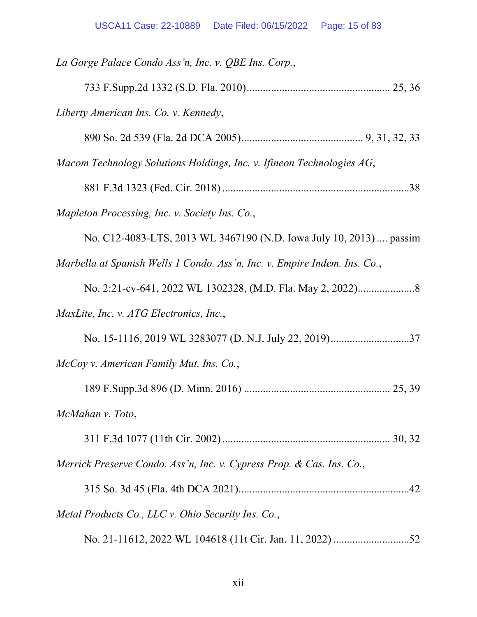| La Gorge Palace Condo Ass'n, Inc. v. QBE Ins. Corp.,                      |
|---------------------------------------------------------------------------|
|                                                                           |
| Liberty American Ins. Co. v. Kennedy,                                     |
|                                                                           |
| Macom Technology Solutions Holdings, Inc. v. Ifineon Technologies AG,     |
|                                                                           |
| Mapleton Processing, Inc. v. Society Ins. Co.,                            |
| No. C12-4083-LTS, 2013 WL 3467190 (N.D. Iowa July 10, 2013)  passim       |
| Marbella at Spanish Wells 1 Condo. Ass'n, Inc. v. Empire Indem. Ins. Co., |
|                                                                           |
| MaxLite, Inc. v. ATG Electronics, Inc.,                                   |
|                                                                           |
| McCoy v. American Family Mut. Ins. Co.,                                   |
|                                                                           |
| McMahan v. Toto,                                                          |
|                                                                           |
| Merrick Preserve Condo. Ass'n, Inc. v. Cypress Prop. & Cas. Ins. Co.,     |
|                                                                           |
| Metal Products Co., LLC v. Ohio Security Ins. Co.,                        |
|                                                                           |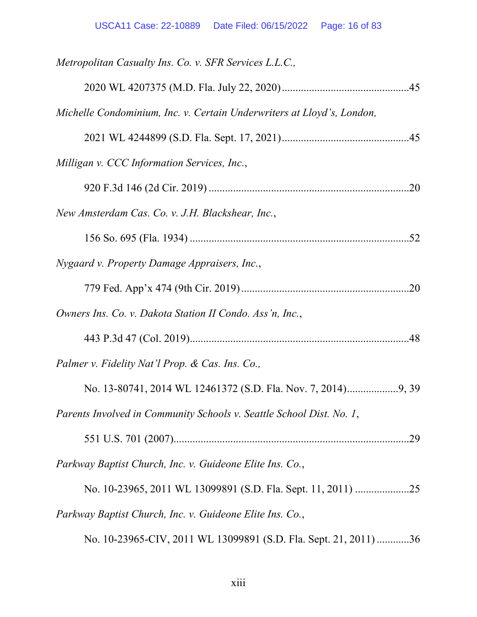| Metropolitan Casualty Ins. Co. v. SFR Services L.L.C.,                 |
|------------------------------------------------------------------------|
|                                                                        |
| Michelle Condominium, Inc. v. Certain Underwriters at Lloyd's, London, |
|                                                                        |
| Milligan v. CCC Information Services, Inc.,                            |
|                                                                        |
| New Amsterdam Cas. Co. v. J.H. Blackshear, Inc.,                       |
|                                                                        |
| Nygaard v. Property Damage Appraisers, Inc.,                           |
|                                                                        |
| Owners Ins. Co. v. Dakota Station II Condo. Ass'n, Inc.,               |
|                                                                        |
| Palmer v. Fidelity Nat'l Prop. & Cas. Ins. Co.,                        |
|                                                                        |
| Parents Involved in Community Schools v. Seattle School Dist. No. 1,   |
|                                                                        |
| Parkway Baptist Church, Inc. v. Guideone Elite Ins. Co.,               |
| No. 10-23965, 2011 WL 13099891 (S.D. Fla. Sept. 11, 2011) 25           |
| Parkway Baptist Church, Inc. v. Guideone Elite Ins. Co.,               |
| No. 10-23965-CIV, 2011 WL 13099891 (S.D. Fla. Sept. 21, 2011) 36       |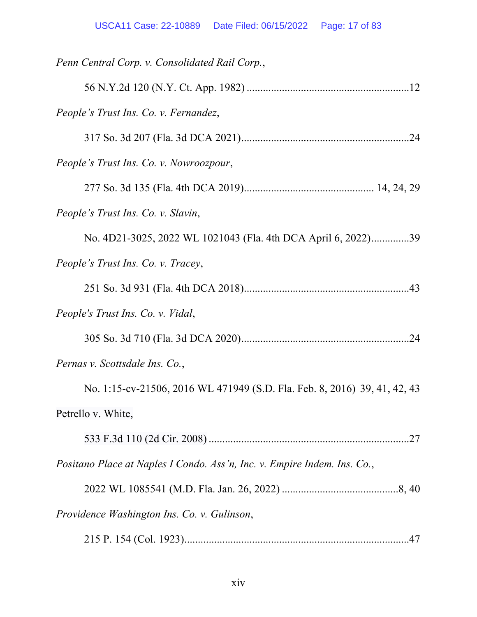| Penn Central Corp. v. Consolidated Rail Corp.,                            |
|---------------------------------------------------------------------------|
|                                                                           |
| People's Trust Ins. Co. v. Fernandez,                                     |
|                                                                           |
| People's Trust Ins. Co. v. Nowroozpour,                                   |
|                                                                           |
| People's Trust Ins. Co. v. Slavin,                                        |
| No. 4D21-3025, 2022 WL 1021043 (Fla. 4th DCA April 6, 2022)39             |
| People's Trust Ins. Co. v. Tracey,                                        |
|                                                                           |
| People's Trust Ins. Co. v. Vidal,                                         |
|                                                                           |
| Pernas v. Scottsdale Ins. Co.,                                            |
| No. 1:15-cv-21506, 2016 WL 471949 (S.D. Fla. Feb. 8, 2016) 39, 41, 42, 43 |
| Petrello v. White,                                                        |
|                                                                           |
| Positano Place at Naples I Condo. Ass'n, Inc. v. Empire Indem. Ins. Co.,  |
|                                                                           |
| Providence Washington Ins. Co. v. Gulinson,                               |
|                                                                           |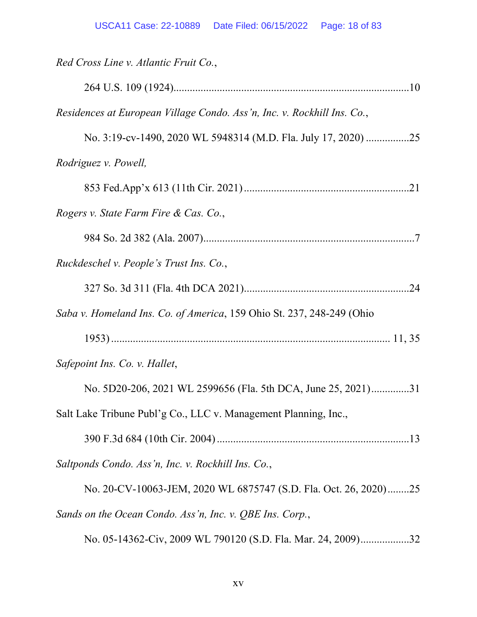| Red Cross Line v. Atlantic Fruit Co.,                                   |
|-------------------------------------------------------------------------|
|                                                                         |
| Residences at European Village Condo. Ass'n, Inc. v. Rockhill Ins. Co., |
| No. 3:19-cv-1490, 2020 WL 5948314 (M.D. Fla. July 17, 2020) 25          |
| Rodriguez v. Powell,                                                    |
|                                                                         |
| Rogers v. State Farm Fire & Cas. Co.,                                   |
|                                                                         |
| Ruckdeschel v. People's Trust Ins. Co.,                                 |
|                                                                         |
| Saba v. Homeland Ins. Co. of America, 159 Ohio St. 237, 248-249 (Ohio   |
|                                                                         |
| Safepoint Ins. Co. v. Hallet,                                           |
| No. 5D20-206, 2021 WL 2599656 (Fla. 5th DCA, June 25, 2021)31           |
| Salt Lake Tribune Publ'g Co., LLC v. Management Planning, Inc.,         |
|                                                                         |
| Saltponds Condo. Ass'n, Inc. v. Rockhill Ins. Co.,                      |
| No. 20-CV-10063-JEM, 2020 WL 6875747 (S.D. Fla. Oct. 26, 2020)25        |
| Sands on the Ocean Condo. Ass'n, Inc. v. QBE Ins. Corp.,                |
| No. 05-14362-Civ, 2009 WL 790120 (S.D. Fla. Mar. 24, 2009)32            |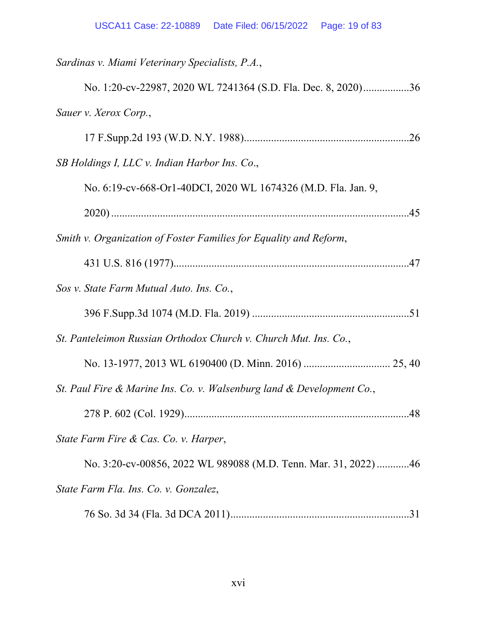| Sardinas v. Miami Veterinary Specialists, P.A.,                       |
|-----------------------------------------------------------------------|
| No. 1:20-cv-22987, 2020 WL 7241364 (S.D. Fla. Dec. 8, 2020)36         |
| Sauer v. Xerox Corp.,                                                 |
|                                                                       |
| SB Holdings I, LLC v. Indian Harbor Ins. Co.,                         |
| No. 6:19-cv-668-Or1-40DCI, 2020 WL 1674326 (M.D. Fla. Jan. 9,         |
|                                                                       |
| Smith v. Organization of Foster Families for Equality and Reform,     |
|                                                                       |
| Sos v. State Farm Mutual Auto. Ins. Co.,                              |
|                                                                       |
| St. Panteleimon Russian Orthodox Church v. Church Mut. Ins. Co.,      |
|                                                                       |
| St. Paul Fire & Marine Ins. Co. v. Walsenburg land & Development Co., |
|                                                                       |
| State Farm Fire & Cas. Co. v. Harper,                                 |
| No. 3:20-cv-00856, 2022 WL 989088 (M.D. Tenn. Mar. 31, 2022) 46       |
| State Farm Fla. Ins. Co. v. Gonzalez,                                 |
|                                                                       |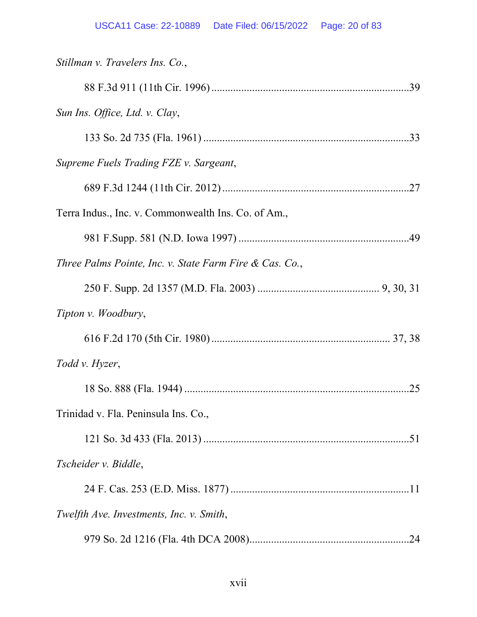| Stillman v. Travelers Ins. Co.,                         |
|---------------------------------------------------------|
|                                                         |
| Sun Ins. Office, Ltd. v. Clay,                          |
|                                                         |
| Supreme Fuels Trading FZE v. Sargeant,                  |
|                                                         |
| Terra Indus., Inc. v. Commonwealth Ins. Co. of Am.,     |
|                                                         |
| Three Palms Pointe, Inc. v. State Farm Fire & Cas. Co., |
|                                                         |
| Tipton v. Woodbury,                                     |
|                                                         |
| Todd v. Hyzer,                                          |
| .25                                                     |
| Trinidad v. Fla. Peninsula Ins. Co.,                    |
|                                                         |
| Tscheider v. Biddle,                                    |
|                                                         |
| Twelfth Ave. Investments, Inc. v. Smith,                |
| .24                                                     |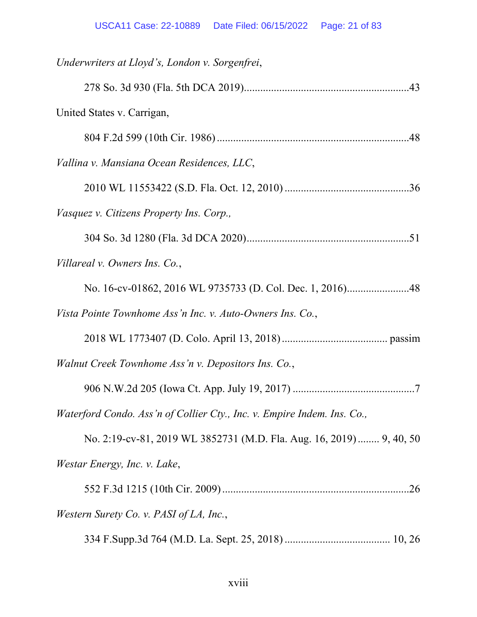| Underwriters at Lloyd's, London v. Sorgenfrei,                          |
|-------------------------------------------------------------------------|
|                                                                         |
| United States v. Carrigan,                                              |
|                                                                         |
| Vallina v. Mansiana Ocean Residences, LLC,                              |
|                                                                         |
| Vasquez v. Citizens Property Ins. Corp.,                                |
|                                                                         |
| Villareal v. Owners Ins. Co.,                                           |
|                                                                         |
| Vista Pointe Townhome Ass'n Inc. v. Auto-Owners Ins. Co.,               |
|                                                                         |
| Walnut Creek Townhome Ass'n v. Depositors Ins. Co.,                     |
|                                                                         |
| Waterford Condo. Ass'n of Collier Cty., Inc. v. Empire Indem. Ins. Co., |
| No. 2:19-cv-81, 2019 WL 3852731 (M.D. Fla. Aug. 16, 2019) 9, 40, 50     |
| Westar Energy, Inc. v. Lake,                                            |
|                                                                         |
| Western Surety Co. v. PASI of LA, Inc.,                                 |

334 F.Supp.3d 764 (M.D. La. Sept. 25, 2018) ....................................... 10, 26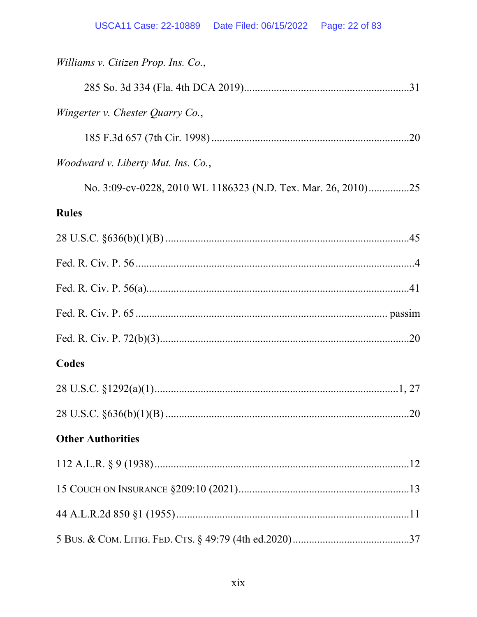| Williams v. Citizen Prop. Ins. Co.,                           |  |
|---------------------------------------------------------------|--|
|                                                               |  |
| Wingerter v. Chester Quarry Co.,                              |  |
|                                                               |  |
| <i>Woodward v. Liberty Mut. Ins. Co.,</i>                     |  |
| No. 3:09-cv-0228, 2010 WL 1186323 (N.D. Tex. Mar. 26, 2010)25 |  |
| <b>Rules</b>                                                  |  |
|                                                               |  |
|                                                               |  |
|                                                               |  |
|                                                               |  |
|                                                               |  |
| Codes                                                         |  |
|                                                               |  |
|                                                               |  |
| <b>Other Authorities</b>                                      |  |
|                                                               |  |
|                                                               |  |
|                                                               |  |
|                                                               |  |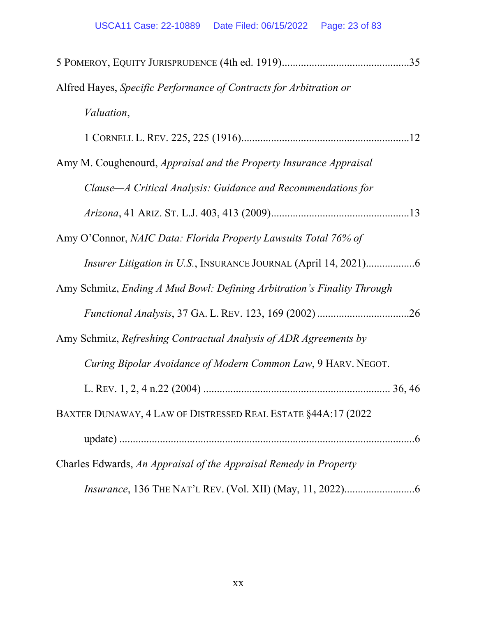| Alfred Hayes, Specific Performance of Contracts for Arbitration or        |
|---------------------------------------------------------------------------|
| <i>Valuation,</i>                                                         |
|                                                                           |
| Amy M. Coughenourd, <i>Appraisal and the Property Insurance Appraisal</i> |
| Clause—A Critical Analysis: Guidance and Recommendations for              |
|                                                                           |
| Amy O'Connor, NAIC Data: Florida Property Lawsuits Total 76% of           |
|                                                                           |
| Amy Schmitz, Ending A Mud Bowl: Defining Arbitration's Finality Through   |
|                                                                           |
| Amy Schmitz, Refreshing Contractual Analysis of ADR Agreements by         |
| Curing Bipolar Avoidance of Modern Common Law, 9 HARV. NEGOT.             |
|                                                                           |
| BAXTER DUNAWAY, 4 LAW OF DISTRESSED REAL ESTATE §44A:17 (2022)            |
|                                                                           |
| Charles Edwards, An Appraisal of the Appraisal Remedy in Property         |
|                                                                           |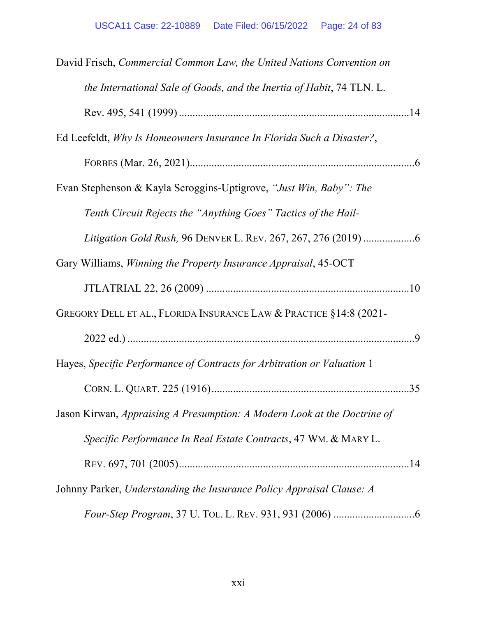| David Frisch, Commercial Common Law, the United Nations Convention on    |
|--------------------------------------------------------------------------|
| the International Sale of Goods, and the Inertia of Habit, 74 TLN. L.    |
|                                                                          |
| Ed Leefeldt, Why Is Homeowners Insurance In Florida Such a Disaster?,    |
|                                                                          |
| Evan Stephenson & Kayla Scroggins-Uptigrove, "Just Win, Baby": The       |
| Tenth Circuit Rejects the "Anything Goes" Tactics of the Hail-           |
|                                                                          |
| Gary Williams, <i>Winning the Property Insurance Appraisal</i> , 45-OCT  |
|                                                                          |
| GREGORY DELL ET AL., FLORIDA INSURANCE LAW & PRACTICE §14:8 (2021-       |
|                                                                          |
| Hayes, Specific Performance of Contracts for Arbitration or Valuation 1  |
|                                                                          |
| Jason Kirwan, Appraising A Presumption: A Modern Look at the Doctrine of |
| Specific Performance In Real Estate Contracts, 47 WM. & MARY L.          |
|                                                                          |
| Johnny Parker, Understanding the Insurance Policy Appraisal Clause: A    |
|                                                                          |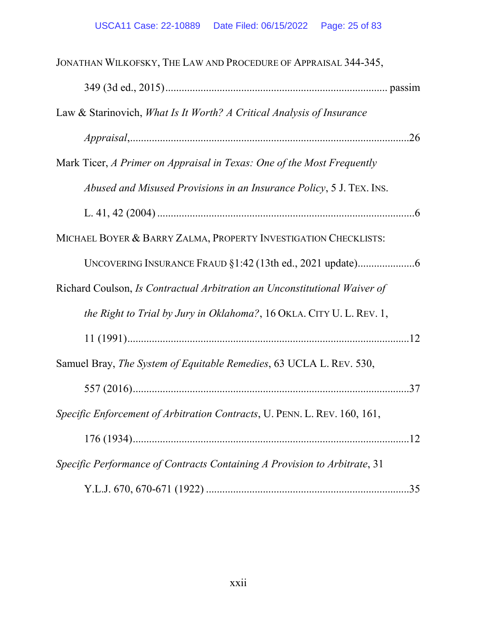| JONATHAN WILKOFSKY, THE LAW AND PROCEDURE OF APPRAISAL 344-345,                  |
|----------------------------------------------------------------------------------|
|                                                                                  |
| Law & Starinovich, What Is It Worth? A Critical Analysis of Insurance            |
|                                                                                  |
| Mark Ticer, A Primer on Appraisal in Texas: One of the Most Frequently           |
| Abused and Misused Provisions in an Insurance Policy, 5 J. TEX. INS.             |
|                                                                                  |
| MICHAEL BOYER & BARRY ZALMA, PROPERTY INVESTIGATION CHECKLISTS:                  |
|                                                                                  |
| Richard Coulson, <i>Is Contractual Arbitration an Unconstitutional Waiver of</i> |
| the Right to Trial by Jury in Oklahoma?, 16 OKLA. CITY U. L. REV. 1,             |
|                                                                                  |
| Samuel Bray, The System of Equitable Remedies, 63 UCLA L. REV. 530,              |
|                                                                                  |
| Specific Enforcement of Arbitration Contracts, U. PENN. L. REV. 160, 161,        |
|                                                                                  |
| Specific Performance of Contracts Containing A Provision to Arbitrate, 31        |
|                                                                                  |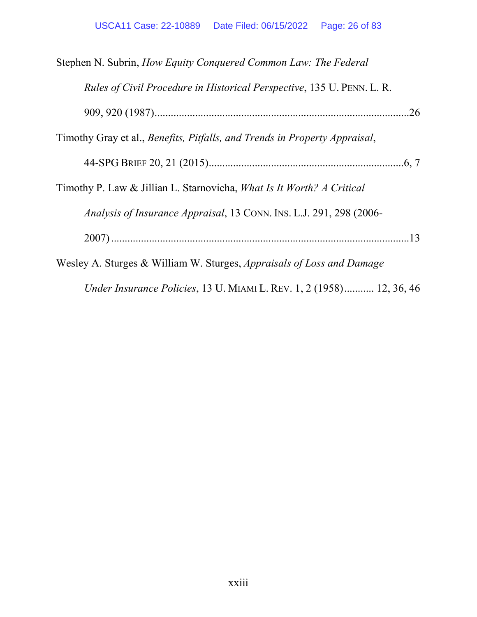| Stephen N. Subrin, How Equity Conquered Common Law: The Federal               |
|-------------------------------------------------------------------------------|
| <i>Rules of Civil Procedure in Historical Perspective, 135 U. PENN. L. R.</i> |
|                                                                               |
| Timothy Gray et al., Benefits, Pitfalls, and Trends in Property Appraisal,    |
|                                                                               |
| Timothy P. Law & Jillian L. Starnovicha, What Is It Worth? A Critical         |
| Analysis of Insurance Appraisal, 13 CONN. INS. L.J. 291, 298 (2006-           |
|                                                                               |
| Wesley A. Sturges & William W. Sturges, <i>Appraisals of Loss and Damage</i>  |
| Under Insurance Policies, 13 U. MIAMI L. REV. 1, 2 (1958) 12, 36, 46          |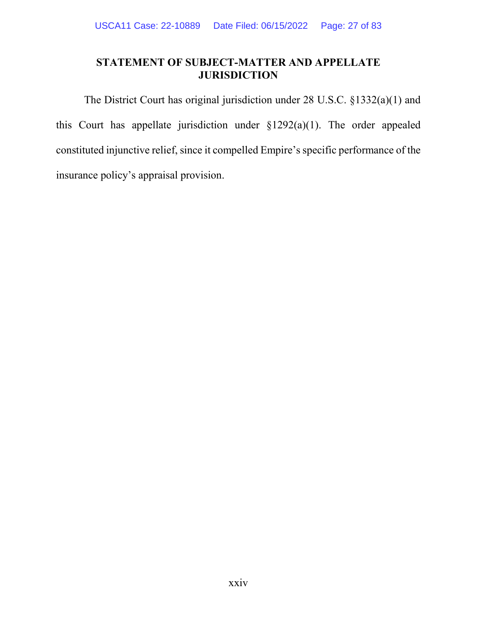# **STATEMENT OF SUBJECT-MATTER AND APPELLATE JURISDICTION**

The District Court has original jurisdiction under 28 U.S.C. §1332(a)(1) and this Court has appellate jurisdiction under §1292(a)(1). The order appealed constituted injunctive relief, since it compelled Empire's specific performance of the insurance policy's appraisal provision.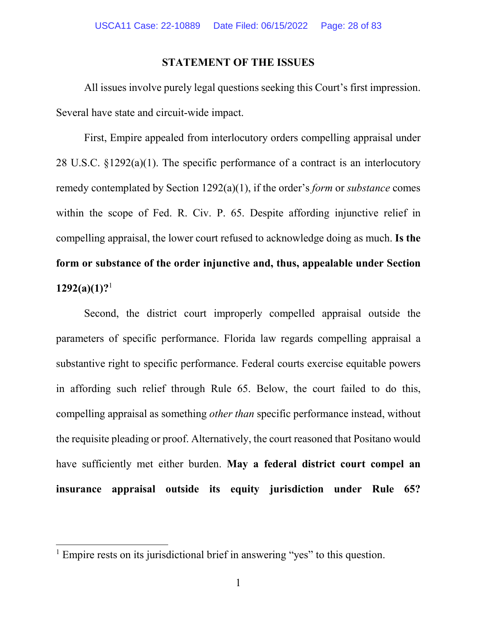#### **STATEMENT OF THE ISSUES**

All issues involve purely legal questions seeking this Court's first impression. Several have state and circuit-wide impact.

First, Empire appealed from interlocutory orders compelling appraisal under 28 U.S.C. §1292(a)(1). The specific performance of a contract is an interlocutory remedy contemplated by Section 1292(a)(1), if the order's *form* or *substance* comes within the scope of Fed. R. Civ. P. 65. Despite affording injunctive relief in compelling appraisal, the lower court refused to acknowledge doing as much. **Is the form or substance of the order injunctive and, thus, appealable under Section 1292(a)(1)?**<sup>1</sup>

Second, the district court improperly compelled appraisal outside the parameters of specific performance. Florida law regards compelling appraisal a substantive right to specific performance. Federal courts exercise equitable powers in affording such relief through Rule 65. Below, the court failed to do this, compelling appraisal as something *other than* specific performance instead, without the requisite pleading or proof. Alternatively, the court reasoned that Positano would have sufficiently met either burden. **May a federal district court compel an insurance appraisal outside its equity jurisdiction under Rule 65?** 

l

<sup>&</sup>lt;sup>1</sup> Empire rests on its jurisdictional brief in answering "yes" to this question.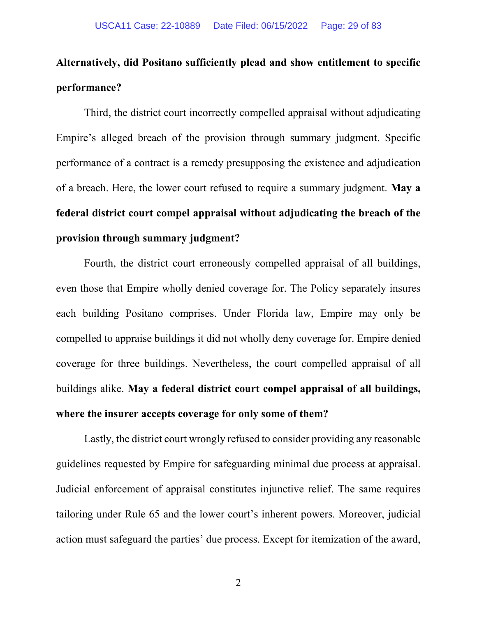# **Alternatively, did Positano sufficiently plead and show entitlement to specific performance?**

Third, the district court incorrectly compelled appraisal without adjudicating Empire's alleged breach of the provision through summary judgment. Specific performance of a contract is a remedy presupposing the existence and adjudication of a breach. Here, the lower court refused to require a summary judgment. **May a federal district court compel appraisal without adjudicating the breach of the provision through summary judgment?** 

Fourth, the district court erroneously compelled appraisal of all buildings, even those that Empire wholly denied coverage for. The Policy separately insures each building Positano comprises. Under Florida law, Empire may only be compelled to appraise buildings it did not wholly deny coverage for. Empire denied coverage for three buildings. Nevertheless, the court compelled appraisal of all buildings alike. **May a federal district court compel appraisal of all buildings, where the insurer accepts coverage for only some of them?**

Lastly, the district court wrongly refused to consider providing any reasonable guidelines requested by Empire for safeguarding minimal due process at appraisal. Judicial enforcement of appraisal constitutes injunctive relief. The same requires tailoring under Rule 65 and the lower court's inherent powers. Moreover, judicial action must safeguard the parties' due process. Except for itemization of the award,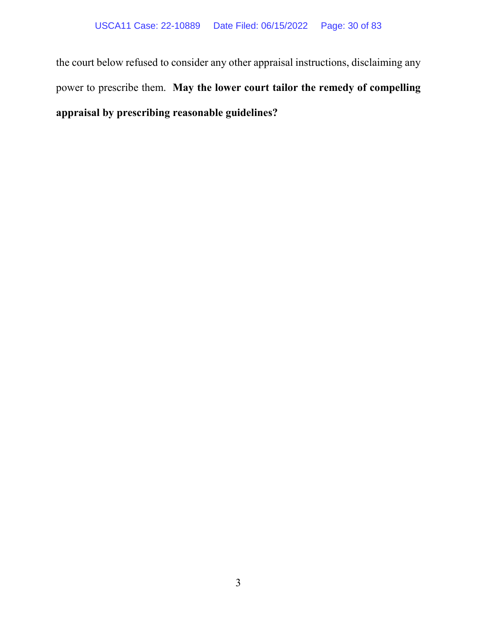the court below refused to consider any other appraisal instructions, disclaiming any power to prescribe them. **May the lower court tailor the remedy of compelling appraisal by prescribing reasonable guidelines?**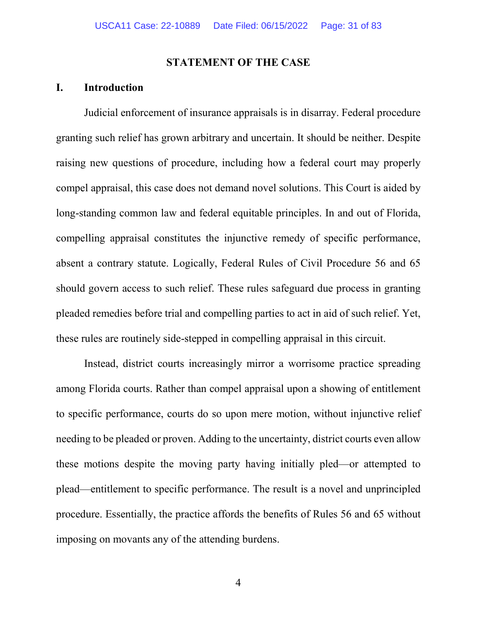#### **STATEMENT OF THE CASE**

# **I. Introduction**

Judicial enforcement of insurance appraisals is in disarray. Federal procedure granting such relief has grown arbitrary and uncertain. It should be neither. Despite raising new questions of procedure, including how a federal court may properly compel appraisal, this case does not demand novel solutions. This Court is aided by long-standing common law and federal equitable principles. In and out of Florida, compelling appraisal constitutes the injunctive remedy of specific performance, absent a contrary statute. Logically, Federal Rules of Civil Procedure 56 and 65 should govern access to such relief. These rules safeguard due process in granting pleaded remedies before trial and compelling parties to act in aid of such relief. Yet, these rules are routinely side-stepped in compelling appraisal in this circuit.

Instead, district courts increasingly mirror a worrisome practice spreading among Florida courts. Rather than compel appraisal upon a showing of entitlement to specific performance, courts do so upon mere motion, without injunctive relief needing to be pleaded or proven. Adding to the uncertainty, district courts even allow these motions despite the moving party having initially pled—or attempted to plead—entitlement to specific performance. The result is a novel and unprincipled procedure. Essentially, the practice affords the benefits of Rules 56 and 65 without imposing on movants any of the attending burdens.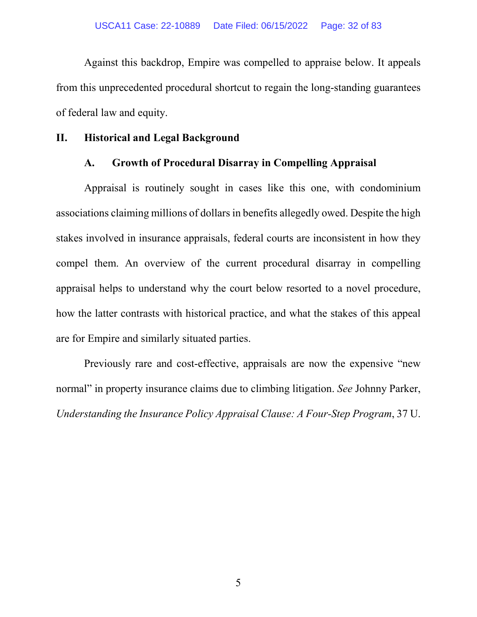Against this backdrop, Empire was compelled to appraise below. It appeals from this unprecedented procedural shortcut to regain the long-standing guarantees of federal law and equity.

### **II. Historical and Legal Background**

### **A. Growth of Procedural Disarray in Compelling Appraisal**

Appraisal is routinely sought in cases like this one, with condominium associations claiming millions of dollars in benefits allegedly owed. Despite the high stakes involved in insurance appraisals, federal courts are inconsistent in how they compel them. An overview of the current procedural disarray in compelling appraisal helps to understand why the court below resorted to a novel procedure, how the latter contrasts with historical practice, and what the stakes of this appeal are for Empire and similarly situated parties.

Previously rare and cost-effective, appraisals are now the expensive "new normal" in property insurance claims due to climbing litigation. *See* Johnny Parker, *Understanding the Insurance Policy Appraisal Clause: A Four-Step Program*, 37 U.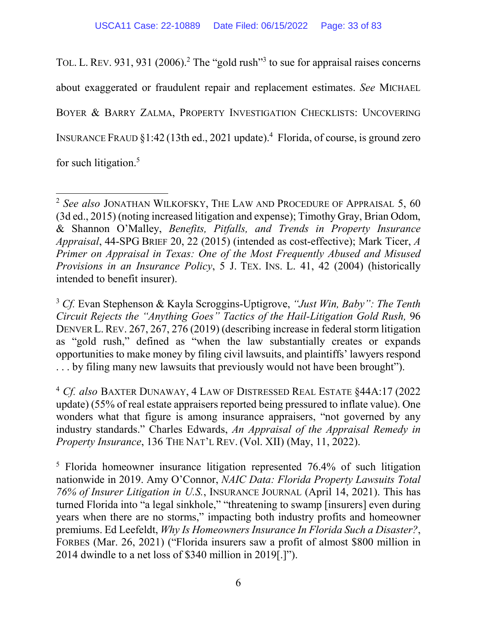TOL. L. REV. 931, 931 (2006).<sup>2</sup> The "gold rush"<sup>3</sup> to sue for appraisal raises concerns about exaggerated or fraudulent repair and replacement estimates. *See* MICHAEL BOYER & BARRY ZALMA, PROPERTY INVESTIGATION CHECKLISTS: UNCOVERING INSURANCE FRAUD  $\S1:42$  (13th ed., 2021 update).<sup>4</sup> Florida, of course, is ground zero for such litigation.<sup>5</sup>

 $\overline{a}$ 

<sup>2</sup> *See also* JONATHAN WILKOFSKY, THE LAW AND PROCEDURE OF APPRAISAL 5, 60 (3d ed., 2015) (noting increased litigation and expense); Timothy Gray, Brian Odom, & Shannon O'Malley, *Benefits, Pitfalls, and Trends in Property Insurance Appraisal*, 44-SPG BRIEF 20, 22 (2015) (intended as cost-effective); Mark Ticer, *A Primer on Appraisal in Texas: One of the Most Frequently Abused and Misused Provisions in an Insurance Policy*, 5 J. TEX. INS. L. 41, 42 (2004) (historically intended to benefit insurer).

<sup>3</sup> *Cf.* Evan Stephenson & Kayla Scroggins-Uptigrove, *"Just Win, Baby": The Tenth Circuit Rejects the "Anything Goes" Tactics of the Hail-Litigation Gold Rush,* 96 DENVER L. REV. 267, 267, 276 (2019) (describing increase in federal storm litigation as "gold rush," defined as "when the law substantially creates or expands opportunities to make money by filing civil lawsuits, and plaintiffs' lawyers respond . . . by filing many new lawsuits that previously would not have been brought").

<sup>4</sup> *Cf. also* BAXTER DUNAWAY, 4 LAW OF DISTRESSED REAL ESTATE §44A:17 (2022 update) (55% of real estate appraisers reported being pressured to inflate value). One wonders what that figure is among insurance appraisers, "not governed by any industry standards." Charles Edwards, *An Appraisal of the Appraisal Remedy in Property Insurance*, 136 THE NAT'L REV. (Vol. XII) (May, 11, 2022).

<sup>&</sup>lt;sup>5</sup> Florida homeowner insurance litigation represented 76.4% of such litigation nationwide in 2019. Amy O'Connor, *NAIC Data: Florida Property Lawsuits Total 76% of Insurer Litigation in U.S.*, INSURANCE JOURNAL (April 14, 2021). This has turned Florida into "a legal sinkhole," "threatening to swamp [insurers] even during years when there are no storms," impacting both industry profits and homeowner premiums. Ed Leefeldt, *Why Is Homeowners Insurance In Florida Such a Disaster?*, FORBES (Mar. 26, 2021) ("Florida insurers saw a profit of almost \$800 million in 2014 dwindle to a net loss of \$340 million in 2019[.]").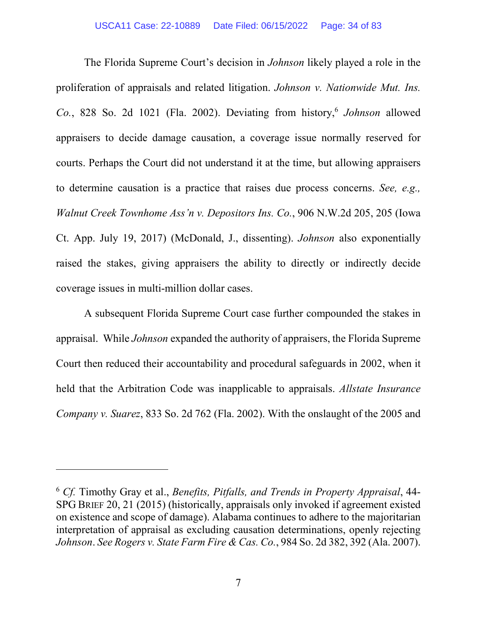The Florida Supreme Court's decision in *Johnson* likely played a role in the proliferation of appraisals and related litigation. *Johnson v. Nationwide Mut. Ins.*  Co., 828 So. 2d 1021 (Fla. 2002). Deviating from history,<sup>6</sup> Johnson allowed appraisers to decide damage causation, a coverage issue normally reserved for courts. Perhaps the Court did not understand it at the time, but allowing appraisers to determine causation is a practice that raises due process concerns. *See, e.g., Walnut Creek Townhome Ass'n v. Depositors Ins. Co.*, 906 N.W.2d 205, 205 (Iowa Ct. App. July 19, 2017) (McDonald, J., dissenting). *Johnson* also exponentially raised the stakes, giving appraisers the ability to directly or indirectly decide coverage issues in multi-million dollar cases.

A subsequent Florida Supreme Court case further compounded the stakes in appraisal. While *Johnson* expanded the authority of appraisers, the Florida Supreme Court then reduced their accountability and procedural safeguards in 2002, when it held that the Arbitration Code was inapplicable to appraisals. *Allstate Insurance Company v. Suarez*, 833 So. 2d 762 (Fla. 2002). With the onslaught of the 2005 and

 $\overline{\phantom{a}}$ 

<sup>6</sup> *Cf.* Timothy Gray et al., *Benefits, Pitfalls, and Trends in Property Appraisal*, 44- SPG BRIEF 20, 21 (2015) (historically, appraisals only invoked if agreement existed on existence and scope of damage). Alabama continues to adhere to the majoritarian interpretation of appraisal as excluding causation determinations, openly rejecting *Johnson*. *See Rogers v. State Farm Fire & Cas. Co.*, 984 So. 2d 382, 392 (Ala. 2007).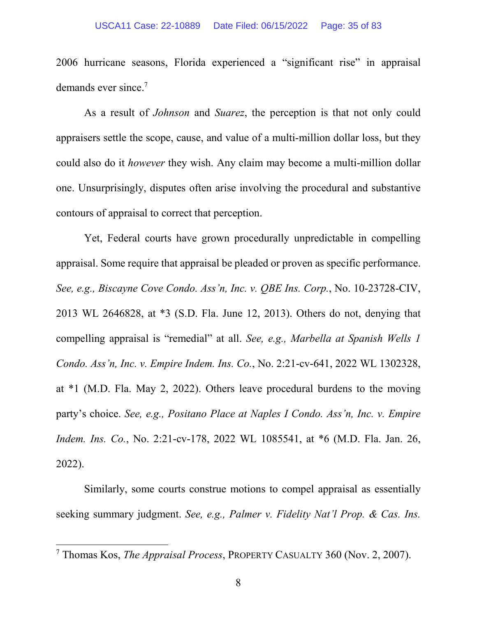2006 hurricane seasons, Florida experienced a "significant rise" in appraisal demands ever since.<sup>7</sup>

As a result of *Johnson* and *Suarez*, the perception is that not only could appraisers settle the scope, cause, and value of a multi-million dollar loss, but they could also do it *however* they wish. Any claim may become a multi-million dollar one. Unsurprisingly, disputes often arise involving the procedural and substantive contours of appraisal to correct that perception.

Yet, Federal courts have grown procedurally unpredictable in compelling appraisal. Some require that appraisal be pleaded or proven as specific performance. *See, e.g., Biscayne Cove Condo. Ass'n, Inc. v. QBE Ins. Corp.*, No. 10-23728-CIV, 2013 WL 2646828, at \*3 (S.D. Fla. June 12, 2013). Others do not, denying that compelling appraisal is "remedial" at all. *See, e.g., Marbella at Spanish Wells 1 Condo. Ass'n, Inc. v. Empire Indem. Ins. Co.*, No. 2:21-cv-641, 2022 WL 1302328, at \*1 (M.D. Fla. May 2, 2022). Others leave procedural burdens to the moving party's choice. *See, e.g., Positano Place at Naples I Condo. Ass'n, Inc. v. Empire Indem. Ins. Co.*, No. 2:21-cv-178, 2022 WL 1085541, at \*6 (M.D. Fla. Jan. 26, 2022).

Similarly, some courts construe motions to compel appraisal as essentially seeking summary judgment. *See, e.g., Palmer v. Fidelity Nat'l Prop. & Cas. Ins.* 

l

<sup>7</sup> Thomas Kos, *The Appraisal Process*, PROPERTY CASUALTY 360 (Nov. 2, 2007).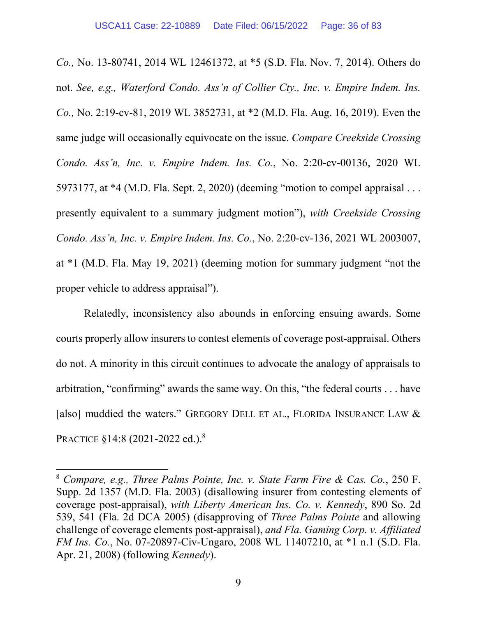*Co.,* No. 13-80741, 2014 WL 12461372, at \*5 (S.D. Fla. Nov. 7, 2014). Others do not. *See, e.g., Waterford Condo. Ass'n of Collier Cty., Inc. v. Empire Indem. Ins. Co.,* No. 2:19-cv-81, 2019 WL 3852731, at \*2 (M.D. Fla. Aug. 16, 2019). Even the same judge will occasionally equivocate on the issue. *Compare Creekside Crossing Condo. Ass'n, Inc. v. Empire Indem. Ins. Co.*, No. 2:20-cv-00136, 2020 WL 5973177, at \*4 (M.D. Fla. Sept. 2, 2020) (deeming "motion to compel appraisal . . . presently equivalent to a summary judgment motion"), *with Creekside Crossing Condo. Ass'n, Inc. v. Empire Indem. Ins. Co.*, No. 2:20-cv-136, 2021 WL 2003007, at \*1 (M.D. Fla. May 19, 2021) (deeming motion for summary judgment "not the proper vehicle to address appraisal").

Relatedly, inconsistency also abounds in enforcing ensuing awards. Some courts properly allow insurers to contest elements of coverage post-appraisal. Others do not. A minority in this circuit continues to advocate the analogy of appraisals to arbitration, "confirming" awards the same way. On this, "the federal courts . . . have [also] muddied the waters." GREGORY DELL ET AL., FLORIDA INSURANCE LAW & PRACTICE §14:8 (2021-2022 ed.).<sup>8</sup>

 $\overline{\phantom{a}}$ 

<sup>8</sup> *Compare, e.g., Three Palms Pointe, Inc. v. State Farm Fire & Cas. Co.*, 250 F. Supp. 2d 1357 (M.D. Fla. 2003) (disallowing insurer from contesting elements of coverage post-appraisal), *with Liberty American Ins. Co. v. Kennedy*, 890 So. 2d 539, 541 (Fla. 2d DCA 2005) (disapproving of *Three Palms Pointe* and allowing challenge of coverage elements post-appraisal), *and Fla. Gaming Corp. v. Affiliated FM Ins. Co.*, No. 07-20897-Civ-Ungaro, 2008 WL 11407210, at \*1 n.1 (S.D. Fla. Apr. 21, 2008) (following *Kennedy*).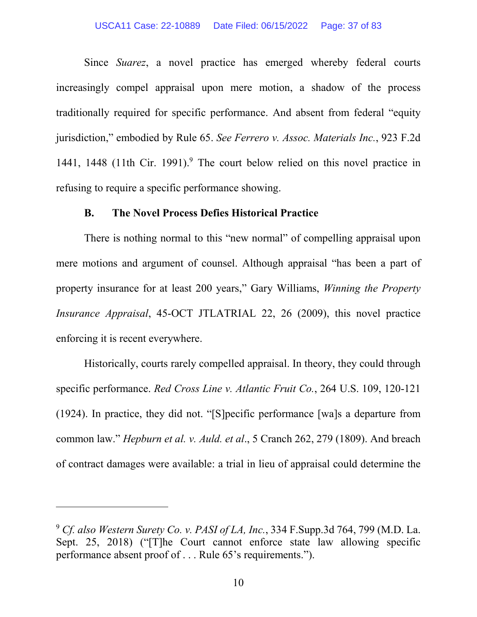#### USCA11 Case: 22-10889 Date Filed: 06/15/2022 Page: 37 of 83

Since *Suarez*, a novel practice has emerged whereby federal courts increasingly compel appraisal upon mere motion, a shadow of the process traditionally required for specific performance. And absent from federal "equity jurisdiction," embodied by Rule 65. *See Ferrero v. Assoc. Materials Inc.*, 923 F.2d 1441, 1448 (11th Cir. 1991).<sup>9</sup> The court below relied on this novel practice in refusing to require a specific performance showing.

### **B. The Novel Process Defies Historical Practice**

There is nothing normal to this "new normal" of compelling appraisal upon mere motions and argument of counsel. Although appraisal "has been a part of property insurance for at least 200 years," Gary Williams, *Winning the Property Insurance Appraisal*, 45-OCT JTLATRIAL 22, 26 (2009), this novel practice enforcing it is recent everywhere.

Historically, courts rarely compelled appraisal. In theory, they could through specific performance. *Red Cross Line v. Atlantic Fruit Co.*, 264 U.S. 109, 120-121 (1924). In practice, they did not. "[S]pecific performance [wa]s a departure from common law." *Hepburn et al. v. Auld. et al*., 5 Cranch 262, 279 (1809). And breach of contract damages were available: a trial in lieu of appraisal could determine the

l

<sup>9</sup> *Cf. also Western Surety Co. v. PASI of LA, Inc.*, 334 F.Supp.3d 764, 799 (M.D. La. Sept. 25, 2018) ("[T]he Court cannot enforce state law allowing specific performance absent proof of . . . Rule 65's requirements.").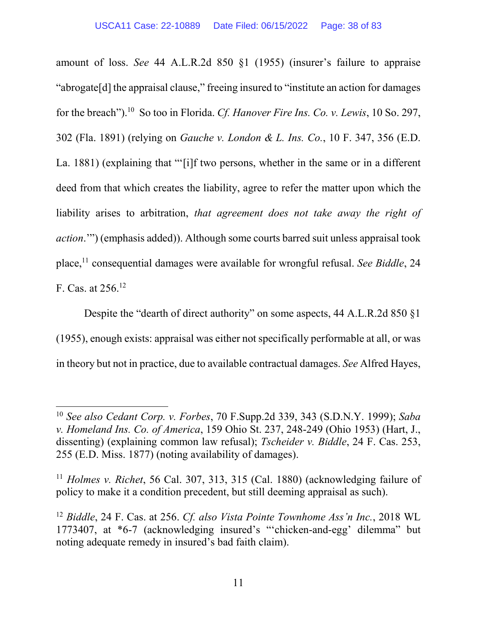amount of loss. *See* 44 A.L.R.2d 850 §1 (1955) (insurer's failure to appraise "abrogate[d] the appraisal clause," freeing insured to "institute an action for damages for the breach").<sup>10</sup> So too in Florida. *Cf. Hanover Fire Ins. Co. v. Lewis*, 10 So. 297, 302 (Fla. 1891) (relying on *Gauche v. London & L. Ins. Co.*, 10 F. 347, 356 (E.D. La. 1881) (explaining that "'[i]f two persons, whether in the same or in a different deed from that which creates the liability, agree to refer the matter upon which the liability arises to arbitration, *that agreement does not take away the right of action*.'") (emphasis added)). Although some courts barred suit unless appraisal took place,<sup>11</sup> consequential damages were available for wrongful refusal. *See Biddle*, 24 F. Cas. at  $256$ .<sup>12</sup>

Despite the "dearth of direct authority" on some aspects, 44 A.L.R.2d 850 §1 (1955), enough exists: appraisal was either not specifically performable at all, or was in theory but not in practice, due to available contractual damages. *See* Alfred Hayes,

<sup>10</sup> *See also Cedant Corp. v. Forbes*, 70 F.Supp.2d 339, 343 (S.D.N.Y. 1999); *Saba v. Homeland Ins. Co. of America*, 159 Ohio St. 237, 248-249 (Ohio 1953) (Hart, J., dissenting) (explaining common law refusal); *Tscheider v. Biddle*, 24 F. Cas. 253, 255 (E.D. Miss. 1877) (noting availability of damages).

<sup>11</sup> *Holmes v. Richet*, 56 Cal. 307, 313, 315 (Cal. 1880) (acknowledging failure of policy to make it a condition precedent, but still deeming appraisal as such).

<sup>12</sup> *Biddle*, 24 F. Cas. at 256. *Cf. also Vista Pointe Townhome Ass'n Inc.*, 2018 WL 1773407, at \*6-7 (acknowledging insured's "'chicken-and-egg' dilemma" but noting adequate remedy in insured's bad faith claim).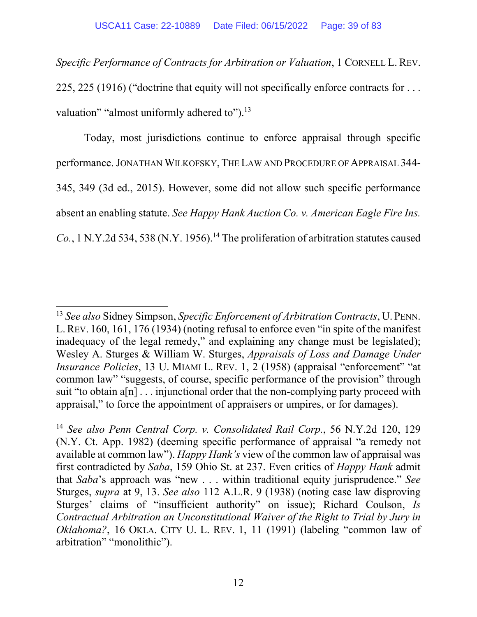*Specific Performance of Contracts for Arbitration or Valuation*, 1 CORNELL L. REV. 225, 225 (1916) ("doctrine that equity will not specifically enforce contracts for . . . valuation" "almost uniformly adhered to").<sup>13</sup>

Today, most jurisdictions continue to enforce appraisal through specific performance. JONATHAN WILKOFSKY,THE LAW AND PROCEDURE OF APPRAISAL 344- 345, 349 (3d ed., 2015). However, some did not allow such specific performance absent an enabling statute. *See Happy Hank Auction Co. v. American Eagle Fire Ins.*   $Co.$ , 1 N.Y.2d 534, 538 (N.Y. 1956).<sup>14</sup> The proliferation of arbitration statutes caused

<sup>13</sup> *See also* Sidney Simpson, *Specific Enforcement of Arbitration Contracts*, U. PENN. L.REV. 160, 161, 176 (1934) (noting refusal to enforce even "in spite of the manifest inadequacy of the legal remedy," and explaining any change must be legislated); Wesley A. Sturges & William W. Sturges, *Appraisals of Loss and Damage Under Insurance Policies*, 13 U. MIAMI L. REV. 1, 2 (1958) (appraisal "enforcement" "at common law" "suggests, of course, specific performance of the provision" through suit "to obtain  $a[n]$ ... injunctional order that the non-complying party proceed with appraisal," to force the appointment of appraisers or umpires, or for damages).

<sup>14</sup> *See also Penn Central Corp. v. Consolidated Rail Corp.*, 56 N.Y.2d 120, 129 (N.Y. Ct. App. 1982) (deeming specific performance of appraisal "a remedy not available at common law"). *Happy Hank's* view of the common law of appraisal was first contradicted by *Saba*, 159 Ohio St. at 237. Even critics of *Happy Hank* admit that *Saba*'s approach was "new . . . within traditional equity jurisprudence." *See* Sturges, *supra* at 9, 13. *See also* 112 A.L.R. 9 (1938) (noting case law disproving Sturges' claims of "insufficient authority" on issue); Richard Coulson, *Is Contractual Arbitration an Unconstitutional Waiver of the Right to Trial by Jury in Oklahoma?*, 16 OKLA. CITY U. L. REV. 1, 11 (1991) (labeling "common law of arbitration" "monolithic").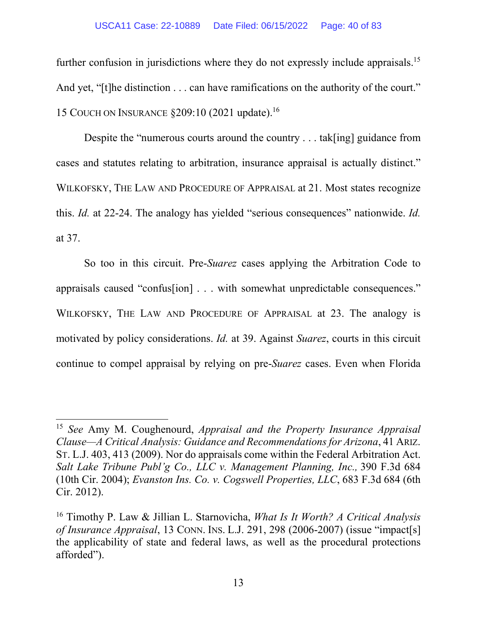#### USCA11 Case: 22-10889 Date Filed: 06/15/2022 Page: 40 of 83

further confusion in jurisdictions where they do not expressly include appraisals.<sup>15</sup> And yet, "[t]he distinction . . . can have ramifications on the authority of the court." 15 COUCH ON INSURANCE §209:10 (2021 update).<sup>16</sup>

Despite the "numerous courts around the country . . . tak[ing] guidance from cases and statutes relating to arbitration, insurance appraisal is actually distinct." WILKOFSKY, THE LAW AND PROCEDURE OF APPRAISAL at 21. Most states recognize this. *Id.* at 22-24. The analogy has yielded "serious consequences" nationwide. *Id.* at 37.

So too in this circuit. Pre-*Suarez* cases applying the Arbitration Code to appraisals caused "confus[ion] . . . with somewhat unpredictable consequences." WILKOFSKY, THE LAW AND PROCEDURE OF APPRAISAL at 23. The analogy is motivated by policy considerations. *Id.* at 39. Against *Suarez*, courts in this circuit continue to compel appraisal by relying on pre-*Suarez* cases. Even when Florida

<sup>15</sup> *See* Amy M. Coughenourd, *Appraisal and the Property Insurance Appraisal Clause—A Critical Analysis: Guidance and Recommendations for Arizona*, 41 ARIZ. ST. L.J. 403, 413 (2009). Nor do appraisals come within the Federal Arbitration Act. *Salt Lake Tribune Publ'g Co., LLC v. Management Planning, Inc.,* 390 F.3d 684 (10th Cir. 2004); *Evanston Ins. Co. v. Cogswell Properties, LLC*, 683 F.3d 684 (6th Cir. 2012).

<sup>16</sup> Timothy P. Law & Jillian L. Starnovicha, *What Is It Worth? A Critical Analysis of Insurance Appraisal*, 13 CONN. INS. L.J. 291, 298 (2006-2007) (issue "impact[s] the applicability of state and federal laws, as well as the procedural protections afforded").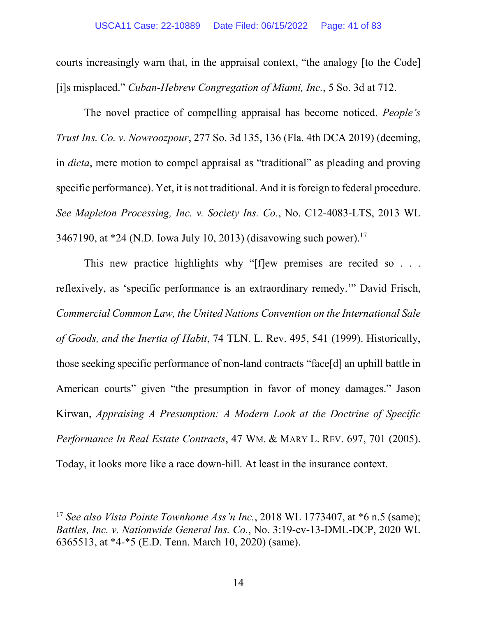courts increasingly warn that, in the appraisal context, "the analogy [to the Code] [i]s misplaced." *Cuban-Hebrew Congregation of Miami, Inc.*, 5 So. 3d at 712.

The novel practice of compelling appraisal has become noticed. *People's Trust Ins. Co. v. Nowroozpour*, 277 So. 3d 135, 136 (Fla. 4th DCA 2019) (deeming, in *dicta*, mere motion to compel appraisal as "traditional" as pleading and proving specific performance). Yet, it is not traditional. And it is foreign to federal procedure. *See Mapleton Processing, Inc. v. Society Ins. Co.*, No. C12-4083-LTS, 2013 WL 3467190, at  $*24$  (N.D. Iowa July 10, 2013) (disavowing such power).<sup>17</sup>

This new practice highlights why "[f]ew premises are recited so . . . reflexively, as 'specific performance is an extraordinary remedy.'" David Frisch, *Commercial Common Law, the United Nations Convention on the International Sale of Goods, and the Inertia of Habit*, 74 TLN. L. Rev. 495, 541 (1999). Historically, those seeking specific performance of non-land contracts "face[d] an uphill battle in American courts" given "the presumption in favor of money damages." Jason Kirwan, *Appraising A Presumption: A Modern Look at the Doctrine of Specific Performance In Real Estate Contracts*, 47 WM. & MARY L. REV. 697, 701 (2005). Today, it looks more like a race down-hill. At least in the insurance context.

l

<sup>&</sup>lt;sup>17</sup> See also Vista Pointe Townhome Ass'n Inc., 2018 WL 1773407, at \*6 n.5 (same); *Battles, Inc. v. Nationwide General Ins. Co.*, No. 3:19-cv-13-DML-DCP, 2020 WL 6365513, at \*4-\*5 (E.D. Tenn. March 10, 2020) (same).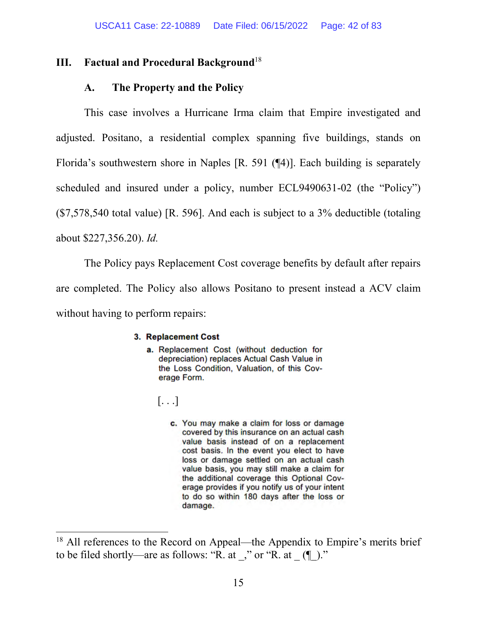# **III. Factual and Procedural Background**<sup>18</sup>

## **A. The Property and the Policy**

This case involves a Hurricane Irma claim that Empire investigated and adjusted. Positano, a residential complex spanning five buildings, stands on Florida's southwestern shore in Naples [R. 591 (¶4)]. Each building is separately scheduled and insured under a policy, number ECL9490631-02 (the "Policy") (\$7,578,540 total value) [R. 596]. And each is subject to a 3% deductible (totaling about \$227,356.20). *Id.*

The Policy pays Replacement Cost coverage benefits by default after repairs are completed. The Policy also allows Positano to present instead a ACV claim without having to perform repairs:

### 3. Replacement Cost

- a. Replacement Cost (without deduction for depreciation) replaces Actual Cash Value in the Loss Condition, Valuation, of this Coverage Form.
	- $\left[\ldots\right]$

 $\overline{a}$ 

c. You may make a claim for loss or damage covered by this insurance on an actual cash value basis instead of on a replacement cost basis. In the event you elect to have loss or damage settled on an actual cash value basis, you may still make a claim for the additional coverage this Optional Coverage provides if you notify us of your intent to do so within 180 days after the loss or damage.

<sup>&</sup>lt;sup>18</sup> All references to the Record on Appeal—the Appendix to Empire's merits brief to be filed shortly—are as follows: "R. at \_," or "R. at  $($ <del>[</del> $)$ ."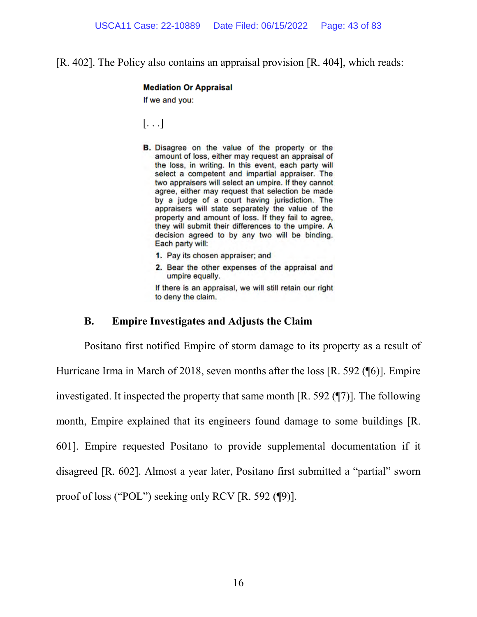[R. 402]. The Policy also contains an appraisal provision [R. 404], which reads:

#### **Mediation Or Appraisal**

If we and you:

[. . .]

- **B.** Disagree on the value of the property or the amount of loss, either may request an appraisal of the loss, in writing. In this event, each party will select a competent and impartial appraiser. The two appraisers will select an umpire. If they cannot agree, either may request that selection be made by a judge of a court having jurisdiction. The appraisers will state separately the value of the property and amount of loss. If they fail to agree, they will submit their differences to the umpire. A decision agreed to by any two will be binding. Each party will:
	- 1. Pay its chosen appraiser; and
	- 2. Bear the other expenses of the appraisal and umpire equally.

If there is an appraisal, we will still retain our right to deny the claim.

### **B. Empire Investigates and Adjusts the Claim**

Positano first notified Empire of storm damage to its property as a result of Hurricane Irma in March of 2018, seven months after the loss [R. 592 (¶6)]. Empire investigated. It inspected the property that same month [R. 592 (¶7)]. The following month, Empire explained that its engineers found damage to some buildings [R. 601]. Empire requested Positano to provide supplemental documentation if it disagreed [R. 602]. Almost a year later, Positano first submitted a "partial" sworn proof of loss ("POL") seeking only RCV [R. 592 (¶9)].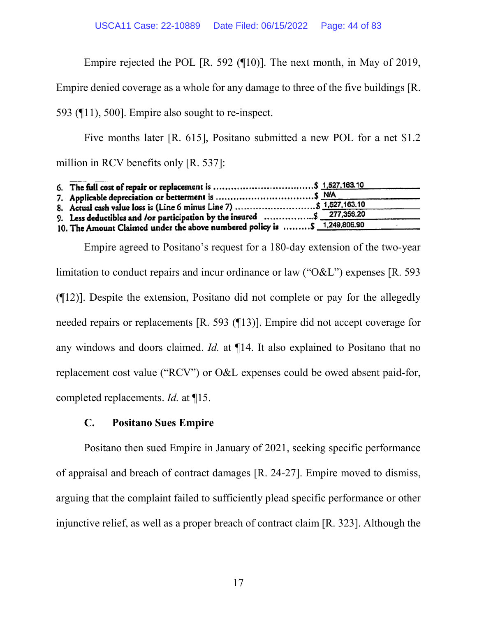Empire rejected the POL [R. 592 (¶10)]. The next month, in May of 2019,

Empire denied coverage as a whole for any damage to three of the five buildings [R.

593 (¶11), 500]. Empire also sought to re-inspect.

Five months later [R. 615], Positano submitted a new POL for a net \$1.2 million in RCV benefits only [R. 537]:

| 8. Actual cash value loss is (Line 6 minus Line 7)  \$ 1,527,163.10        |  |
|----------------------------------------------------------------------------|--|
| 9. Less deductibles and /or participation by the insured \$ 277,356.20     |  |
| 10. The Amount Claimed under the above numbered policy is  \$ 1,249,806.90 |  |
|                                                                            |  |

Empire agreed to Positano's request for a 180-day extension of the two-year limitation to conduct repairs and incur ordinance or law ("O&L") expenses [R. 593 (¶12)]. Despite the extension, Positano did not complete or pay for the allegedly needed repairs or replacements [R. 593 (¶13)]. Empire did not accept coverage for any windows and doors claimed. *Id.* at ¶14. It also explained to Positano that no replacement cost value ("RCV") or O&L expenses could be owed absent paid-for, completed replacements. *Id.* at ¶15.

## **C. Positano Sues Empire**

Positano then sued Empire in January of 2021, seeking specific performance of appraisal and breach of contract damages [R. 24-27]. Empire moved to dismiss, arguing that the complaint failed to sufficiently plead specific performance or other injunctive relief, as well as a proper breach of contract claim [R. 323]. Although the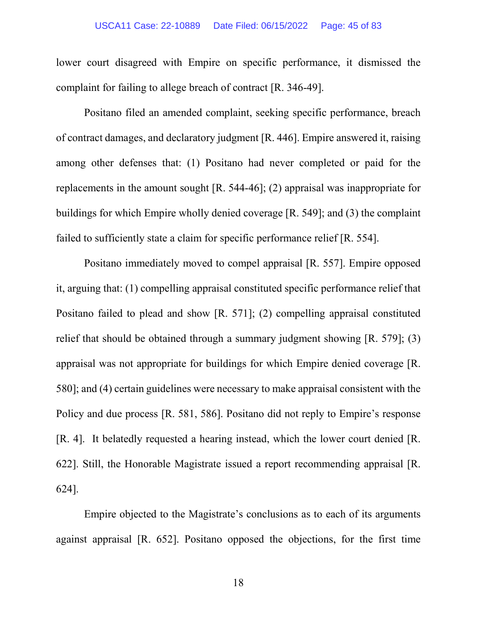#### USCA11 Case: 22-10889 Date Filed: 06/15/2022 Page: 45 of 83

lower court disagreed with Empire on specific performance, it dismissed the complaint for failing to allege breach of contract [R. 346-49].

Positano filed an amended complaint, seeking specific performance, breach of contract damages, and declaratory judgment [R. 446]. Empire answered it, raising among other defenses that: (1) Positano had never completed or paid for the replacements in the amount sought [R. 544-46]; (2) appraisal was inappropriate for buildings for which Empire wholly denied coverage [R. 549]; and (3) the complaint failed to sufficiently state a claim for specific performance relief [R. 554].

Positano immediately moved to compel appraisal [R. 557]. Empire opposed it, arguing that: (1) compelling appraisal constituted specific performance relief that Positano failed to plead and show [R. 571]; (2) compelling appraisal constituted relief that should be obtained through a summary judgment showing [R. 579]; (3) appraisal was not appropriate for buildings for which Empire denied coverage [R. 580]; and (4) certain guidelines were necessary to make appraisal consistent with the Policy and due process [R. 581, 586]. Positano did not reply to Empire's response [R. 4]. It belatedly requested a hearing instead, which the lower court denied [R. 622]. Still, the Honorable Magistrate issued a report recommending appraisal [R. 624].

Empire objected to the Magistrate's conclusions as to each of its arguments against appraisal [R. 652]. Positano opposed the objections, for the first time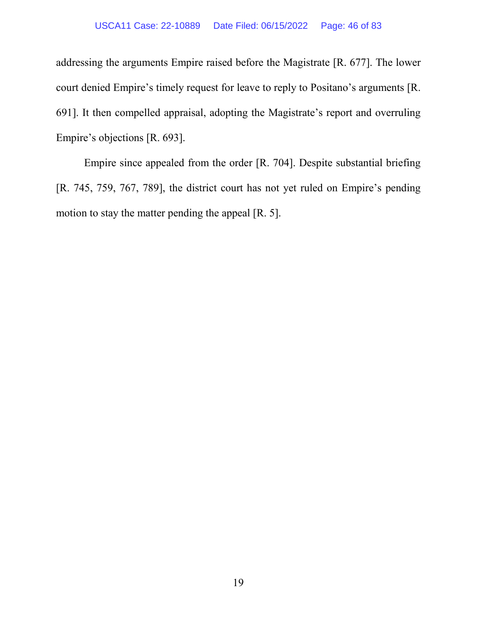### USCA11 Case: 22-10889 Date Filed: 06/15/2022 Page: 46 of 83

addressing the arguments Empire raised before the Magistrate [R. 677]. The lower court denied Empire's timely request for leave to reply to Positano's arguments [R. 691]. It then compelled appraisal, adopting the Magistrate's report and overruling Empire's objections [R. 693].

Empire since appealed from the order [R. 704]. Despite substantial briefing [R. 745, 759, 767, 789], the district court has not yet ruled on Empire's pending motion to stay the matter pending the appeal [R. 5].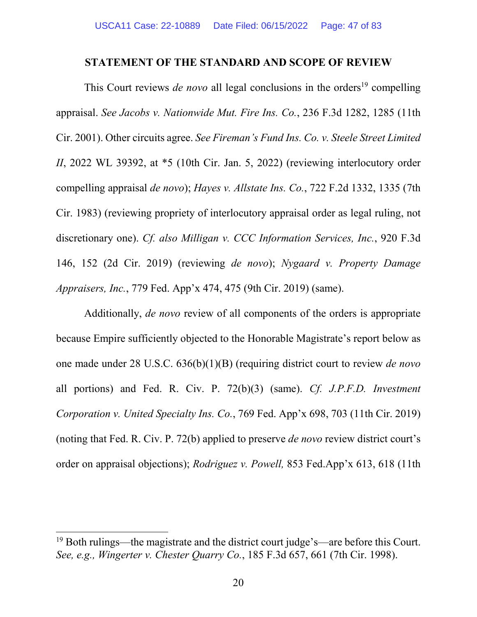### **STATEMENT OF THE STANDARD AND SCOPE OF REVIEW**

This Court reviews *de novo* all legal conclusions in the orders<sup>19</sup> compelling appraisal. *See Jacobs v. Nationwide Mut. Fire Ins. Co.*, 236 F.3d 1282, 1285 (11th Cir. 2001). Other circuits agree. *See Fireman's Fund Ins. Co. v. Steele Street Limited II*, 2022 WL 39392, at \*5 (10th Cir. Jan. 5, 2022) (reviewing interlocutory order compelling appraisal *de novo*); *Hayes v. Allstate Ins. Co.*, 722 F.2d 1332, 1335 (7th Cir. 1983) (reviewing propriety of interlocutory appraisal order as legal ruling, not discretionary one). *Cf. also Milligan v. CCC Information Services, Inc.*, 920 F.3d 146, 152 (2d Cir. 2019) (reviewing *de novo*); *Nygaard v. Property Damage Appraisers, Inc.*, 779 Fed. App'x 474, 475 (9th Cir. 2019) (same).

Additionally, *de novo* review of all components of the orders is appropriate because Empire sufficiently objected to the Honorable Magistrate's report below as one made under 28 U.S.C. 636(b)(1)(B) (requiring district court to review *de novo* all portions) and Fed. R. Civ. P. 72(b)(3) (same). *Cf. J.P.F.D. Investment Corporation v. United Specialty Ins. Co.*, 769 Fed. App'x 698, 703 (11th Cir. 2019) (noting that Fed. R. Civ. P. 72(b) applied to preserve *de novo* review district court's order on appraisal objections); *Rodriguez v. Powell,* 853 Fed.App'x 613, 618 (11th

<sup>19</sup> Both rulings—the magistrate and the district court judge's—are before this Court. *See, e.g., Wingerter v. Chester Quarry Co.*, 185 F.3d 657, 661 (7th Cir. 1998).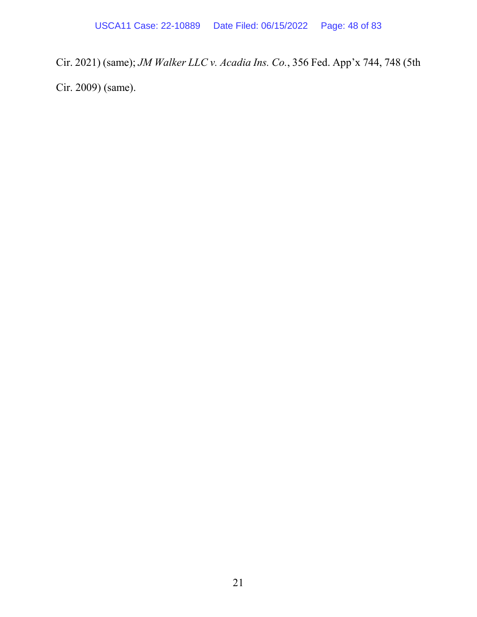Cir. 2021) (same); *JM Walker LLC v. Acadia Ins. Co.*, 356 Fed. App'x 744, 748 (5th Cir. 2009) (same).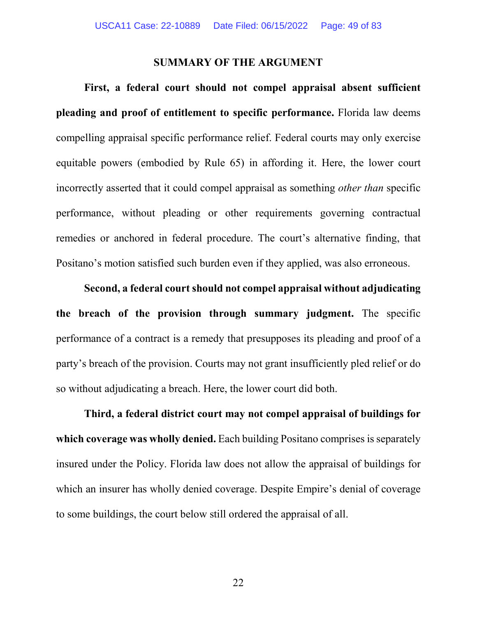### **SUMMARY OF THE ARGUMENT**

**First, a federal court should not compel appraisal absent sufficient pleading and proof of entitlement to specific performance.** Florida law deems compelling appraisal specific performance relief. Federal courts may only exercise equitable powers (embodied by Rule 65) in affording it. Here, the lower court incorrectly asserted that it could compel appraisal as something *other than* specific performance, without pleading or other requirements governing contractual remedies or anchored in federal procedure. The court's alternative finding, that Positano's motion satisfied such burden even if they applied, was also erroneous.

**Second, a federal court should not compel appraisal without adjudicating the breach of the provision through summary judgment.** The specific performance of a contract is a remedy that presupposes its pleading and proof of a party's breach of the provision. Courts may not grant insufficiently pled relief or do so without adjudicating a breach. Here, the lower court did both.

**Third, a federal district court may not compel appraisal of buildings for which coverage was wholly denied.** Each building Positano comprises is separately insured under the Policy. Florida law does not allow the appraisal of buildings for which an insurer has wholly denied coverage. Despite Empire's denial of coverage to some buildings, the court below still ordered the appraisal of all.

22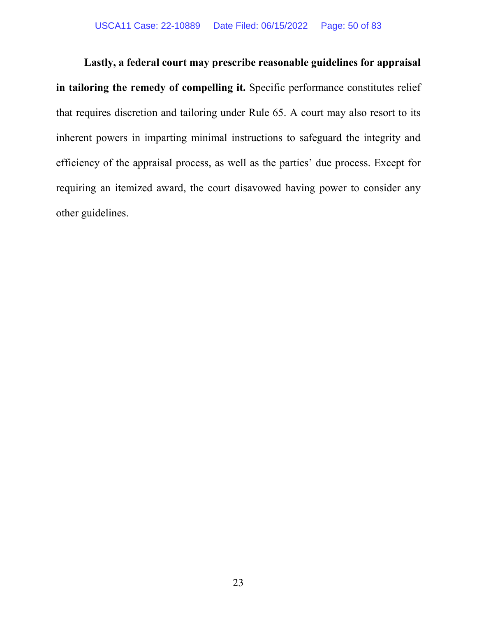**Lastly, a federal court may prescribe reasonable guidelines for appraisal**  in tailoring the remedy of compelling it. Specific performance constitutes relief that requires discretion and tailoring under Rule 65. A court may also resort to its inherent powers in imparting minimal instructions to safeguard the integrity and efficiency of the appraisal process, as well as the parties' due process. Except for requiring an itemized award, the court disavowed having power to consider any other guidelines.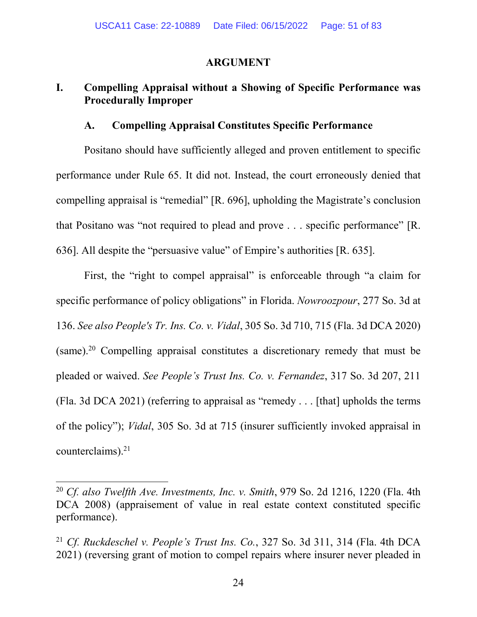## **ARGUMENT**

# **I. Compelling Appraisal without a Showing of Specific Performance was Procedurally Improper**

## **A. Compelling Appraisal Constitutes Specific Performance**

Positano should have sufficiently alleged and proven entitlement to specific performance under Rule 65. It did not. Instead, the court erroneously denied that compelling appraisal is "remedial" [R. 696], upholding the Magistrate's conclusion that Positano was "not required to plead and prove . . . specific performance" [R. 636]. All despite the "persuasive value" of Empire's authorities [R. 635].

First, the "right to compel appraisal" is enforceable through "a claim for specific performance of policy obligations" in Florida. *Nowroozpour*, 277 So. 3d at 136. *See also People's Tr. Ins. Co. v. Vidal*, 305 So. 3d 710, 715 (Fla. 3d DCA 2020) (same).<sup>20</sup> Compelling appraisal constitutes a discretionary remedy that must be pleaded or waived. *See People's Trust Ins. Co. v. Fernandez*, 317 So. 3d 207, 211 (Fla. 3d DCA 2021) (referring to appraisal as "remedy . . . [that] upholds the terms of the policy"); *Vidal*, 305 So. 3d at 715 (insurer sufficiently invoked appraisal in counterclaims). $21$ 

<sup>20</sup> *Cf. also Twelfth Ave. Investments, Inc. v. Smith*, 979 So. 2d 1216, 1220 (Fla. 4th DCA 2008) (appraisement of value in real estate context constituted specific performance).

<sup>21</sup> *Cf. Ruckdeschel v. People's Trust Ins. Co.*, 327 So. 3d 311, 314 (Fla. 4th DCA 2021) (reversing grant of motion to compel repairs where insurer never pleaded in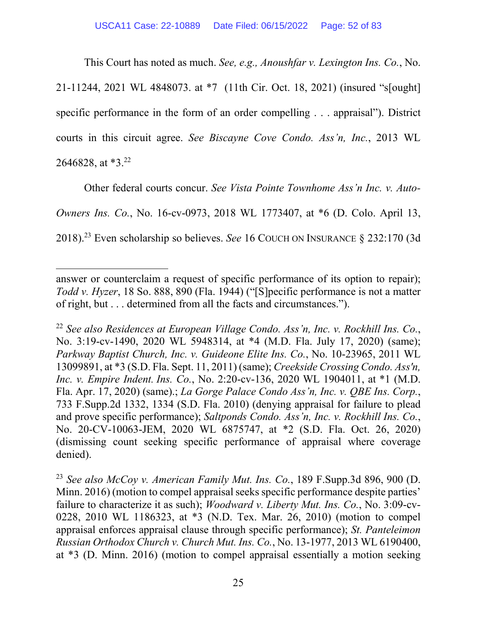This Court has noted as much. *See, e.g., Anoushfar v. Lexington Ins. Co.*, No.

21-11244, 2021 WL 4848073. at \*7 (11th Cir. Oct. 18, 2021) (insured "s[ought] specific performance in the form of an order compelling . . . appraisal"). District courts in this circuit agree. *See Biscayne Cove Condo. Ass'n, Inc.*, 2013 WL 2646828, at  $*3.^{22}$ 

Other federal courts concur. *See Vista Pointe Townhome Ass'n Inc. v. Auto-Owners Ins. Co.*, No. 16-cv-0973, 2018 WL 1773407, at \*6 (D. Colo. April 13, 2018).<sup>23</sup> Even scholarship so believes. *See* 16 COUCH ON INSURANCE § 232:170 (3d

 $\overline{a}$ 

<sup>22</sup> *See also Residences at European Village Condo. Ass'n, Inc. v. Rockhill Ins. Co.*, No. 3:19-cv-1490, 2020 WL 5948314, at \*4 (M.D. Fla. July 17, 2020) (same); *Parkway Baptist Church, Inc. v. Guideone Elite Ins. Co.*, No. 10-23965, 2011 WL 13099891, at \*3 (S.D. Fla. Sept. 11, 2011) (same); *Creekside Crossing Condo. Ass'n, Inc. v. Empire Indent. Ins. Co.*, No. 2:20-cv-136, 2020 WL 1904011, at \*1 (M.D. Fla. Apr. 17, 2020) (same).; *La Gorge Palace Condo Ass'n, Inc. v. QBE Ins. Corp.*, 733 F.Supp.2d 1332, 1334 (S.D. Fla. 2010) (denying appraisal for failure to plead and prove specific performance); *Saltponds Condo. Ass'n, Inc. v. Rockhill Ins. Co.*, No. 20-CV-10063-JEM, 2020 WL 6875747, at \*2 (S.D. Fla. Oct. 26, 2020) (dismissing count seeking specific performance of appraisal where coverage denied).

<sup>23</sup> *See also McCoy v. American Family Mut. Ins. Co.*, 189 F.Supp.3d 896, 900 (D. Minn. 2016) (motion to compel appraisal seeks specific performance despite parties' failure to characterize it as such); *Woodward v. Liberty Mut. Ins. Co.*, No. 3:09-cv-0228, 2010 WL 1186323, at \*3 (N.D. Tex. Mar. 26, 2010) (motion to compel appraisal enforces appraisal clause through specific performance); *St. Panteleimon Russian Orthodox Church v. Church Mut. Ins. Co.*, No. 13-1977, 2013 WL 6190400, at \*3 (D. Minn. 2016) (motion to compel appraisal essentially a motion seeking

answer or counterclaim a request of specific performance of its option to repair); *Todd v. Hyzer*, 18 So. 888, 890 (Fla. 1944) ("[S]pecific performance is not a matter of right, but . . . determined from all the facts and circumstances.").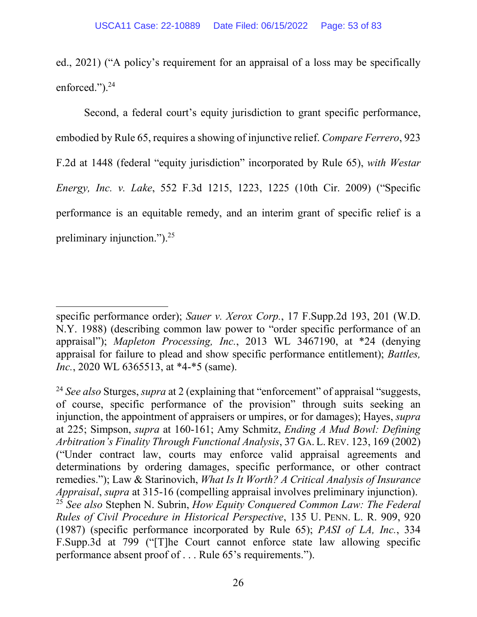ed., 2021) ("A policy's requirement for an appraisal of a loss may be specifically enforced." $)^{24}$ 

Second, a federal court's equity jurisdiction to grant specific performance, embodied by Rule 65, requires a showing of injunctive relief. *Compare Ferrero*, 923 F.2d at 1448 (federal "equity jurisdiction" incorporated by Rule 65), *with Westar Energy, Inc. v. Lake*, 552 F.3d 1215, 1223, 1225 (10th Cir. 2009) ("Specific performance is an equitable remedy, and an interim grant of specific relief is a preliminary injunction." $)^{25}$ 

 $\overline{\phantom{a}}$ 

specific performance order); *Sauer v. Xerox Corp.*, 17 F.Supp.2d 193, 201 (W.D. N.Y. 1988) (describing common law power to "order specific performance of an appraisal"); *Mapleton Processing, Inc.*, 2013 WL 3467190, at \*24 (denying appraisal for failure to plead and show specific performance entitlement); *Battles, Inc.*, 2020 WL 6365513, at \*4-\*5 (same).

<sup>24</sup> *See also* Sturges, *supra* at 2 (explaining that "enforcement" of appraisal "suggests, of course, specific performance of the provision" through suits seeking an injunction, the appointment of appraisers or umpires, or for damages); Hayes, *supra* at 225; Simpson, *supra* at 160-161; Amy Schmitz, *Ending A Mud Bowl: Defining Arbitration's Finality Through Functional Analysis*, 37 GA. L. REV. 123, 169 (2002) ("Under contract law, courts may enforce valid appraisal agreements and determinations by ordering damages, specific performance, or other contract remedies."); Law & Starinovich, *What Is It Worth? A Critical Analysis of Insurance Appraisal*, *supra* at 315-16 (compelling appraisal involves preliminary injunction). <sup>25</sup> *See also* Stephen N. Subrin, *How Equity Conquered Common Law: The Federal Rules of Civil Procedure in Historical Perspective*, 135 U. PENN. L. R. 909, 920 (1987) (specific performance incorporated by Rule 65); *PASI of LA, Inc.*, 334 F.Supp.3d at 799 ("[T]he Court cannot enforce state law allowing specific performance absent proof of . . . Rule 65's requirements.").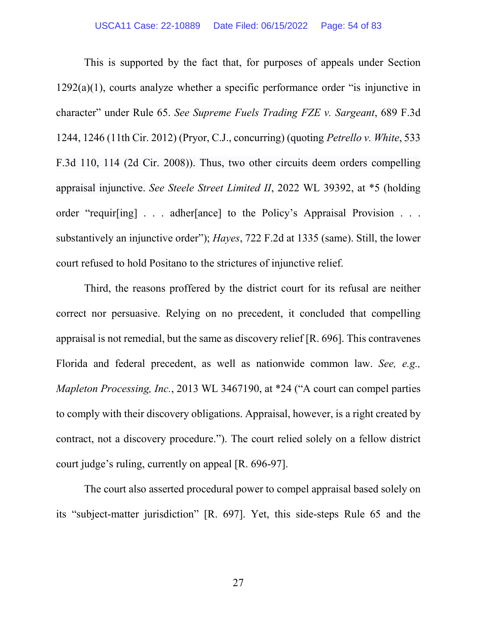This is supported by the fact that, for purposes of appeals under Section  $1292(a)(1)$ , courts analyze whether a specific performance order "is injunctive in character" under Rule 65. *See Supreme Fuels Trading FZE v. Sargeant*, 689 F.3d 1244, 1246 (11th Cir. 2012) (Pryor, C.J., concurring) (quoting *Petrello v. White*, 533 F.3d 110, 114 (2d Cir. 2008)). Thus, two other circuits deem orders compelling appraisal injunctive. *See Steele Street Limited II*, 2022 WL 39392, at \*5 (holding order "requir[ing] . . . adher[ance] to the Policy's Appraisal Provision . . . substantively an injunctive order"); *Hayes*, 722 F.2d at 1335 (same). Still, the lower court refused to hold Positano to the strictures of injunctive relief.

Third, the reasons proffered by the district court for its refusal are neither correct nor persuasive. Relying on no precedent, it concluded that compelling appraisal is not remedial, but the same as discovery relief [R. 696]. This contravenes Florida and federal precedent, as well as nationwide common law. *See, e.g., Mapleton Processing, Inc.*, 2013 WL 3467190, at \*24 ("A court can compel parties to comply with their discovery obligations. Appraisal, however, is a right created by contract, not a discovery procedure."). The court relied solely on a fellow district court judge's ruling, currently on appeal [R. 696-97].

The court also asserted procedural power to compel appraisal based solely on its "subject-matter jurisdiction" [R. 697]. Yet, this side-steps Rule 65 and the

27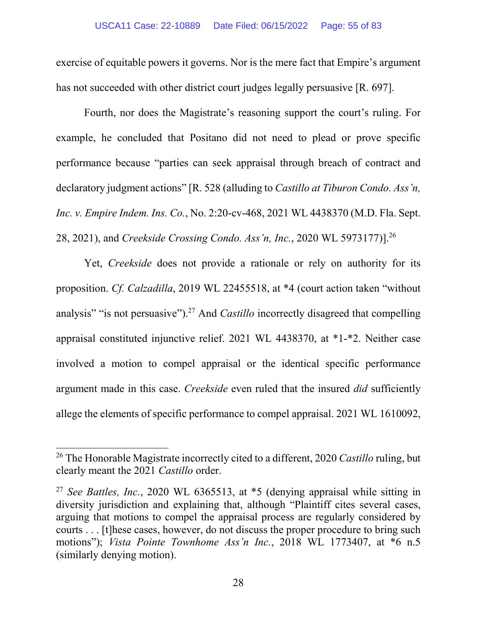exercise of equitable powers it governs. Nor is the mere fact that Empire's argument has not succeeded with other district court judges legally persuasive [R. 697].

Fourth, nor does the Magistrate's reasoning support the court's ruling. For example, he concluded that Positano did not need to plead or prove specific performance because "parties can seek appraisal through breach of contract and declaratory judgment actions" [R. 528 (alluding to *Castillo at Tiburon Condo. Ass'n, Inc. v. Empire Indem. Ins. Co.*, No. 2:20-cv-468, 2021 WL 4438370 (M.D. Fla. Sept. 28, 2021), and *Creekside Crossing Condo. Ass'n, Inc.*, 2020 WL 5973177)].<sup>26</sup>

Yet, *Creekside* does not provide a rationale or rely on authority for its proposition. *Cf. Calzadilla*, 2019 WL 22455518, at \*4 (court action taken "without analysis" "is not persuasive").<sup>27</sup> And *Castillo* incorrectly disagreed that compelling appraisal constituted injunctive relief. 2021 WL 4438370, at \*1-\*2. Neither case involved a motion to compel appraisal or the identical specific performance argument made in this case. *Creekside* even ruled that the insured *did* sufficiently allege the elements of specific performance to compel appraisal. 2021 WL 1610092,

<sup>26</sup> The Honorable Magistrate incorrectly cited to a different, 2020 *Castillo* ruling, but clearly meant the 2021 *Castillo* order.

<sup>27</sup> *See Battles, Inc.*, 2020 WL 6365513, at \*5 (denying appraisal while sitting in diversity jurisdiction and explaining that, although "Plaintiff cites several cases, arguing that motions to compel the appraisal process are regularly considered by courts . . . [t]hese cases, however, do not discuss the proper procedure to bring such motions"); *Vista Pointe Townhome Ass'n Inc.*, 2018 WL 1773407, at \*6 n.5 (similarly denying motion).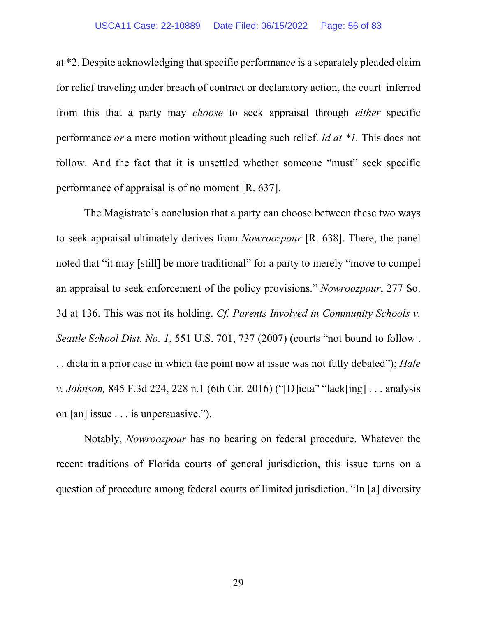#### USCA11 Case: 22-10889 Date Filed: 06/15/2022 Page: 56 of 83

at \*2. Despite acknowledging that specific performance is a separately pleaded claim for relief traveling under breach of contract or declaratory action, the court inferred from this that a party may *choose* to seek appraisal through *either* specific performance *or* a mere motion without pleading such relief. *Id at \*1.* This does not follow. And the fact that it is unsettled whether someone "must" seek specific performance of appraisal is of no moment [R. 637].

The Magistrate's conclusion that a party can choose between these two ways to seek appraisal ultimately derives from *Nowroozpour* [R. 638]. There, the panel noted that "it may [still] be more traditional" for a party to merely "move to compel an appraisal to seek enforcement of the policy provisions." *Nowroozpour*, 277 So. 3d at 136. This was not its holding. *Cf. Parents Involved in Community Schools v. Seattle School Dist. No. 1*, 551 U.S. 701, 737 (2007) (courts "not bound to follow . . . dicta in a prior case in which the point now at issue was not fully debated"); *Hale v. Johnson,* 845 F.3d 224, 228 n.1 (6th Cir. 2016) ("[D]icta" "lack[ing] . . . analysis on [an] issue . . . is unpersuasive.").

Notably, *Nowroozpour* has no bearing on federal procedure. Whatever the recent traditions of Florida courts of general jurisdiction, this issue turns on a question of procedure among federal courts of limited jurisdiction. "In [a] diversity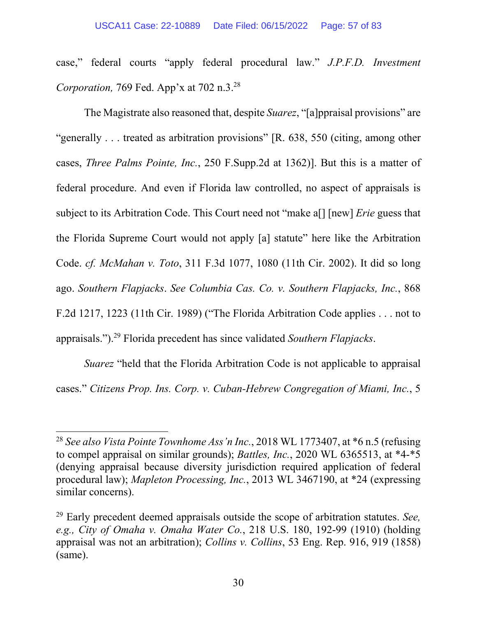case," federal courts "apply federal procedural law." *J.P.F.D. Investment Corporation,* 769 Fed. App'x at 702 n.3.<sup>28</sup>

The Magistrate also reasoned that, despite *Suarez*, "[a]ppraisal provisions" are "generally . . . treated as arbitration provisions" [R. 638, 550 (citing, among other cases, *Three Palms Pointe, Inc.*, 250 F.Supp.2d at 1362)]. But this is a matter of federal procedure. And even if Florida law controlled, no aspect of appraisals is subject to its Arbitration Code. This Court need not "make a[] [new] *Erie* guess that the Florida Supreme Court would not apply [a] statute" here like the Arbitration Code. *cf. McMahan v. Toto*, 311 F.3d 1077, 1080 (11th Cir. 2002). It did so long ago. *Southern Flapjacks*. *See Columbia Cas. Co. v. Southern Flapjacks, Inc.*, 868 F.2d 1217, 1223 (11th Cir. 1989) ("The Florida Arbitration Code applies . . . not to appraisals.").<sup>29</sup> Florida precedent has since validated *Southern Flapjacks*.

*Suarez* "held that the Florida Arbitration Code is not applicable to appraisal cases." *Citizens Prop. Ins. Corp. v. Cuban-Hebrew Congregation of Miami, Inc.*, 5

 $\overline{\phantom{a}}$ 

<sup>28</sup> *See also Vista Pointe Townhome Ass'n Inc.*, 2018 WL 1773407, at \*6 n.5 (refusing to compel appraisal on similar grounds); *Battles, Inc.*, 2020 WL 6365513, at \*4-\*5 (denying appraisal because diversity jurisdiction required application of federal procedural law); *Mapleton Processing, Inc.*, 2013 WL 3467190, at \*24 (expressing similar concerns).

<sup>29</sup> Early precedent deemed appraisals outside the scope of arbitration statutes. *See, e.g., City of Omaha v. Omaha Water Co.*, 218 U.S. 180, 192-99 (1910) (holding appraisal was not an arbitration); *Collins v. Collins*, 53 Eng. Rep. 916, 919 (1858) (same).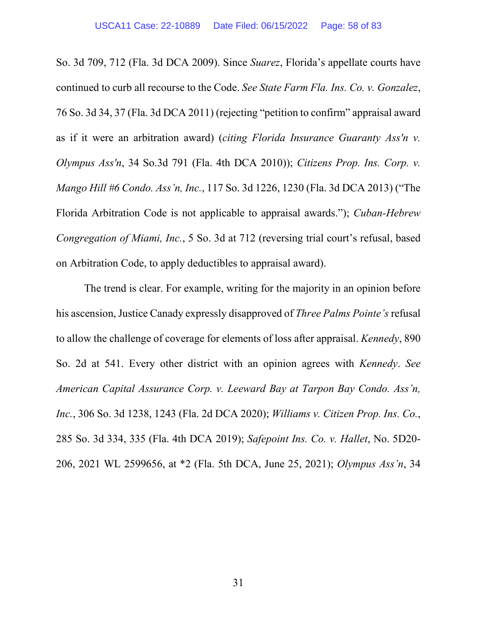So. 3d 709, 712 (Fla. 3d DCA 2009). Since *Suarez*, Florida's appellate courts have continued to curb all recourse to the Code. *See State Farm Fla. Ins. Co. v. Gonzalez*, 76 So. 3d 34, 37 (Fla. 3d DCA 2011) (rejecting "petition to confirm" appraisal award as if it were an arbitration award) (*citing Florida Insurance Guaranty Ass'n v. Olympus Ass'n*, 34 So.3d 791 (Fla. 4th DCA 2010)); *Citizens Prop. Ins. Corp. v. Mango Hill #6 Condo. Ass'n, Inc.*, 117 So. 3d 1226, 1230 (Fla. 3d DCA 2013) ("The Florida Arbitration Code is not applicable to appraisal awards."); *Cuban-Hebrew Congregation of Miami, Inc.*, 5 So. 3d at 712 (reversing trial court's refusal, based on Arbitration Code, to apply deductibles to appraisal award).

The trend is clear. For example, writing for the majority in an opinion before his ascension, Justice Canady expressly disapproved of *Three Palms Pointe's* refusal to allow the challenge of coverage for elements of loss after appraisal. *Kennedy*, 890 So. 2d at 541. Every other district with an opinion agrees with *Kennedy*. *See American Capital Assurance Corp. v. Leeward Bay at Tarpon Bay Condo. Ass'n, Inc.*, 306 So. 3d 1238, 1243 (Fla. 2d DCA 2020); *Williams v. Citizen Prop. Ins. Co.*, 285 So. 3d 334, 335 (Fla. 4th DCA 2019); *Safepoint Ins. Co. v. Hallet*, No. 5D20- 206, 2021 WL 2599656, at \*2 (Fla. 5th DCA, June 25, 2021); *Olympus Ass'n*, 34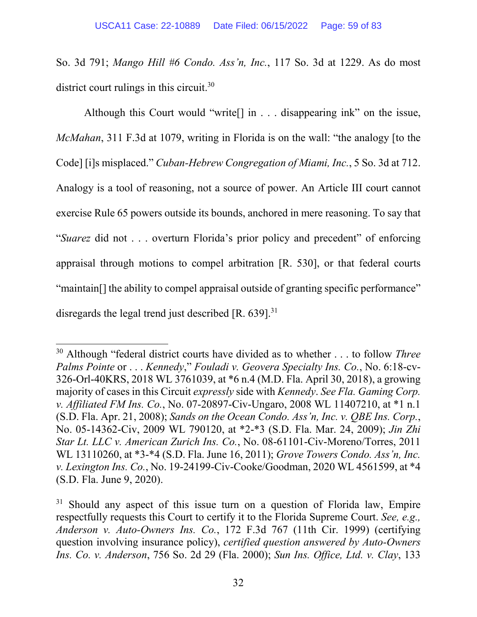So. 3d 791; *Mango Hill #6 Condo. Ass'n, Inc.*, 117 So. 3d at 1229. As do most district court rulings in this circuit. $30$ 

Although this Court would "write[] in . . . disappearing ink" on the issue, *McMahan*, 311 F.3d at 1079, writing in Florida is on the wall: "the analogy [to the Code] [i]s misplaced." *Cuban-Hebrew Congregation of Miami, Inc.*, 5 So. 3d at 712. Analogy is a tool of reasoning, not a source of power. An Article III court cannot exercise Rule 65 powers outside its bounds, anchored in mere reasoning. To say that "*Suarez* did not . . . overturn Florida's prior policy and precedent" of enforcing appraisal through motions to compel arbitration [R. 530], or that federal courts "maintain[] the ability to compel appraisal outside of granting specific performance" disregards the legal trend just described  $[R. 639]$ .<sup>31</sup>

l

<sup>30</sup> Although "federal district courts have divided as to whether . . . to follow *Three Palms Pointe* or . . . *Kennedy*," *Fouladi v. Geovera Specialty Ins. Co.*, No. 6:18-cv-326-Orl-40KRS, 2018 WL 3761039, at \*6 n.4 (M.D. Fla. April 30, 2018), a growing majority of cases in this Circuit *expressly* side with *Kennedy*. *See Fla. Gaming Corp. v. Affiliated FM Ins. Co.*, No. 07-20897-Civ-Ungaro, 2008 WL 11407210, at \*1 n.1 (S.D. Fla. Apr. 21, 2008); *Sands on the Ocean Condo. Ass'n, Inc. v. QBE Ins. Corp.*, No. 05-14362-Civ, 2009 WL 790120, at \*2-\*3 (S.D. Fla. Mar. 24, 2009); *Jin Zhi Star Lt. LLC v. American Zurich Ins. Co.*, No. 08-61101-Civ-Moreno/Torres, 2011 WL 13110260, at \*3-\*4 (S.D. Fla. June 16, 2011); *Grove Towers Condo. Ass'n, Inc. v. Lexington Ins. Co.*, No. 19-24199-Civ-Cooke/Goodman, 2020 WL 4561599, at \*4 (S.D. Fla. June 9, 2020).

<sup>&</sup>lt;sup>31</sup> Should any aspect of this issue turn on a question of Florida law, Empire respectfully requests this Court to certify it to the Florida Supreme Court. *See, e.g., Anderson v. Auto-Owners Ins. Co.*, 172 F.3d 767 (11th Cir. 1999) (certifying question involving insurance policy), *certified question answered by Auto-Owners Ins. Co. v. Anderson*, 756 So. 2d 29 (Fla. 2000); *Sun Ins. Office, Ltd. v. Clay*, 133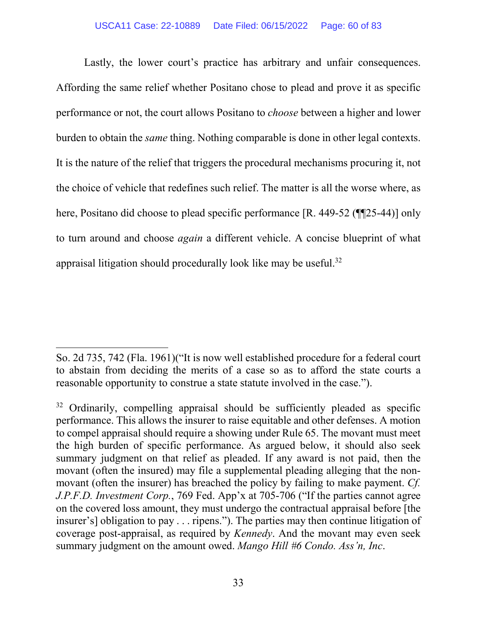#### USCA11 Case: 22-10889 Date Filed: 06/15/2022 Page: 60 of 83

Lastly, the lower court's practice has arbitrary and unfair consequences. Affording the same relief whether Positano chose to plead and prove it as specific performance or not, the court allows Positano to *choose* between a higher and lower burden to obtain the *same* thing. Nothing comparable is done in other legal contexts. It is the nature of the relief that triggers the procedural mechanisms procuring it, not the choice of vehicle that redefines such relief. The matter is all the worse where, as here, Positano did choose to plead specific performance [R. 449-52 (¶¶25-44)] only to turn around and choose *again* a different vehicle. A concise blueprint of what appraisal litigation should procedurally look like may be useful.<sup>32</sup>

 $\overline{\phantom{a}}$ 

So. 2d 735, 742 (Fla. 1961)("It is now well established procedure for a federal court to abstain from deciding the merits of a case so as to afford the state courts a reasonable opportunity to construe a state statute involved in the case.").

<sup>&</sup>lt;sup>32</sup> Ordinarily, compelling appraisal should be sufficiently pleaded as specific performance. This allows the insurer to raise equitable and other defenses. A motion to compel appraisal should require a showing under Rule 65. The movant must meet the high burden of specific performance. As argued below, it should also seek summary judgment on that relief as pleaded. If any award is not paid, then the movant (often the insured) may file a supplemental pleading alleging that the nonmovant (often the insurer) has breached the policy by failing to make payment. *Cf. J.P.F.D. Investment Corp.*, 769 Fed. App'x at 705-706 ("If the parties cannot agree on the covered loss amount, they must undergo the contractual appraisal before [the insurer's] obligation to pay . . . ripens."). The parties may then continue litigation of coverage post-appraisal, as required by *Kennedy*. And the movant may even seek summary judgment on the amount owed. *Mango Hill #6 Condo. Ass'n, Inc*.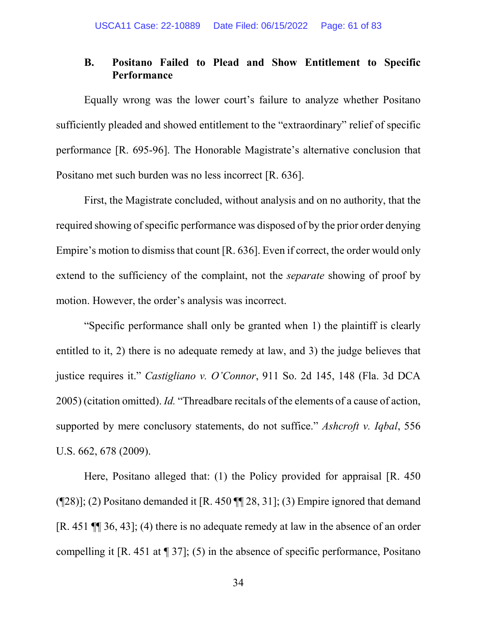# **B. Positano Failed to Plead and Show Entitlement to Specific Performance**

Equally wrong was the lower court's failure to analyze whether Positano sufficiently pleaded and showed entitlement to the "extraordinary" relief of specific performance [R. 695-96]. The Honorable Magistrate's alternative conclusion that Positano met such burden was no less incorrect [R. 636].

First, the Magistrate concluded, without analysis and on no authority, that the required showing of specific performance was disposed of by the prior order denying Empire's motion to dismiss that count [R. 636]. Even if correct, the order would only extend to the sufficiency of the complaint, not the *separate* showing of proof by motion. However, the order's analysis was incorrect.

"Specific performance shall only be granted when 1) the plaintiff is clearly entitled to it, 2) there is no adequate remedy at law, and 3) the judge believes that justice requires it." *Castigliano v. O'Connor*, 911 So. 2d 145, 148 (Fla. 3d DCA 2005) (citation omitted). *Id.* "Threadbare recitals of the elements of a cause of action, supported by mere conclusory statements, do not suffice." *Ashcroft v. Iqbal*, 556 U.S. 662, 678 (2009).

Here, Positano alleged that: (1) the Policy provided for appraisal [R. 450  $(928)$ ; (2) Positano demanded it [R. 450  $9$ ] 28, 31]; (3) Empire ignored that demand [R. 451 ¶¶ 36, 43]; (4) there is no adequate remedy at law in the absence of an order compelling it  $[R. 451 \text{ at } \P 37]$ ; (5) in the absence of specific performance, Positano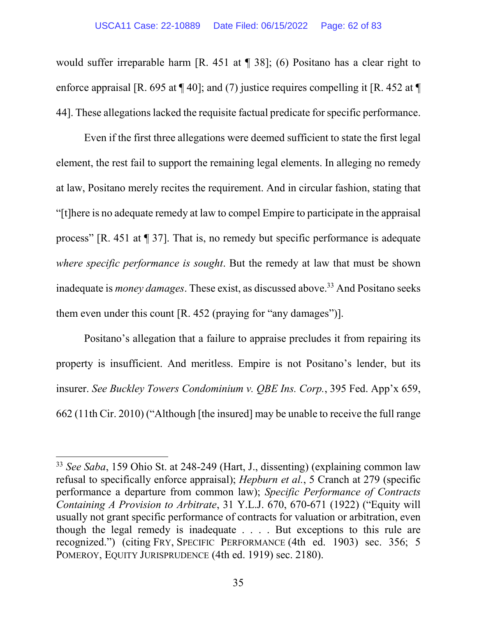would suffer irreparable harm [R. 451 at ¶ 38]; (6) Positano has a clear right to enforce appraisal [R. 695 at  $\P$  40]; and (7) justice requires compelling it [R. 452 at  $\P$ 44]. These allegations lacked the requisite factual predicate for specific performance.

Even if the first three allegations were deemed sufficient to state the first legal element, the rest fail to support the remaining legal elements. In alleging no remedy at law, Positano merely recites the requirement. And in circular fashion, stating that "[t]here is no adequate remedy at law to compel Empire to participate in the appraisal process" [R. 451 at ¶ 37]. That is, no remedy but specific performance is adequate *where specific performance is sought*. But the remedy at law that must be shown inadequate is *money damages*. These exist, as discussed above.<sup>33</sup> And Positano seeks them even under this count [R. 452 (praying for "any damages")].

Positano's allegation that a failure to appraise precludes it from repairing its property is insufficient. And meritless. Empire is not Positano's lender, but its insurer. *See Buckley Towers Condominium v. QBE Ins. Corp.*, 395 Fed. App'x 659, 662 (11th Cir. 2010) ("Although [the insured] may be unable to receive the full range

 $\overline{\phantom{a}}$ 

<sup>33</sup> *See Saba*, 159 Ohio St. at 248-249 (Hart, J., dissenting) (explaining common law refusal to specifically enforce appraisal); *Hepburn et al.*, 5 Cranch at 279 (specific performance a departure from common law); *Specific Performance of Contracts Containing A Provision to Arbitrate*, 31 Y.L.J. 670, 670-671 (1922) ("Equity will usually not grant specific performance of contracts for valuation or arbitration, even though the legal remedy is inadequate . . . . But exceptions to this rule are recognized.") (citing FRY, SPECIFIC PERFORMANCE (4th ed. 1903) sec. 356; 5 POMEROY, EQUITY JURISPRUDENCE (4th ed. 1919) sec. 2180).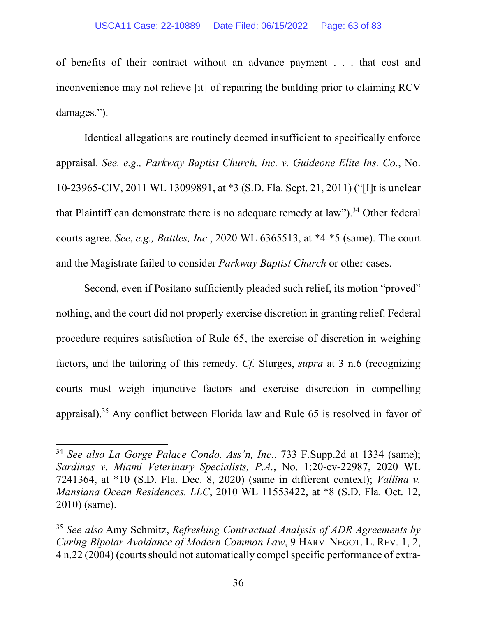of benefits of their contract without an advance payment . . . that cost and inconvenience may not relieve [it] of repairing the building prior to claiming RCV damages.").

Identical allegations are routinely deemed insufficient to specifically enforce appraisal. *See, e.g., Parkway Baptist Church, Inc. v. Guideone Elite Ins. Co.*, No. 10-23965-CIV, 2011 WL 13099891, at \*3 (S.D. Fla. Sept. 21, 2011) ("[I]t is unclear that Plaintiff can demonstrate there is no adequate remedy at law").<sup>34</sup> Other federal courts agree. *See*, *e.g., Battles, Inc.*, 2020 WL 6365513, at \*4-\*5 (same). The court and the Magistrate failed to consider *Parkway Baptist Church* or other cases.

Second, even if Positano sufficiently pleaded such relief, its motion "proved" nothing, and the court did not properly exercise discretion in granting relief. Federal procedure requires satisfaction of Rule 65, the exercise of discretion in weighing factors, and the tailoring of this remedy. *Cf.* Sturges, *supra* at 3 n.6 (recognizing courts must weigh injunctive factors and exercise discretion in compelling appraisal).<sup>35</sup> Any conflict between Florida law and Rule 65 is resolved in favor of

<sup>34</sup> *See also La Gorge Palace Condo. Ass'n, Inc.*, 733 F.Supp.2d at 1334 (same); *Sardinas v. Miami Veterinary Specialists, P.A.*, No. 1:20-cv-22987, 2020 WL 7241364, at \*10 (S.D. Fla. Dec. 8, 2020) (same in different context); *Vallina v. Mansiana Ocean Residences, LLC*, 2010 WL 11553422, at \*8 (S.D. Fla. Oct. 12, 2010) (same).

<sup>35</sup> *See also* Amy Schmitz, *Refreshing Contractual Analysis of ADR Agreements by Curing Bipolar Avoidance of Modern Common Law*, 9 HARV. NEGOT. L. REV. 1, 2, 4 n.22 (2004) (courts should not automatically compel specific performance of extra-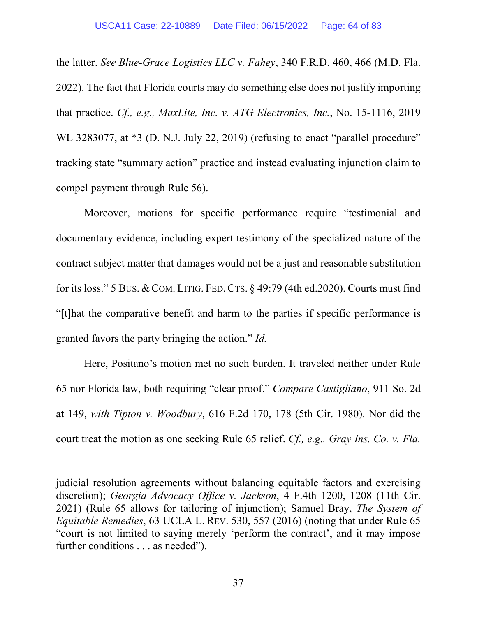the latter. *See Blue-Grace Logistics LLC v. Fahey*, 340 F.R.D. 460, 466 (M.D. Fla. 2022). The fact that Florida courts may do something else does not justify importing that practice. *Cf., e.g., MaxLite, Inc. v. ATG Electronics, Inc.*, No. 15-1116, 2019 WL 3283077, at  $*3$  (D. N.J. July 22, 2019) (refusing to enact "parallel procedure" tracking state "summary action" practice and instead evaluating injunction claim to compel payment through Rule 56).

Moreover, motions for specific performance require "testimonial and documentary evidence, including expert testimony of the specialized nature of the contract subject matter that damages would not be a just and reasonable substitution for its loss." 5 BUS. & COM. LITIG. FED. CTS.  $\S$  49:79 (4th ed.2020). Courts must find "[t]hat the comparative benefit and harm to the parties if specific performance is granted favors the party bringing the action." *Id.* 

Here, Positano's motion met no such burden. It traveled neither under Rule 65 nor Florida law, both requiring "clear proof." *Compare Castigliano*, 911 So. 2d at 149, *with Tipton v. Woodbury*, 616 F.2d 170, 178 (5th Cir. 1980). Nor did the court treat the motion as one seeking Rule 65 relief. *Cf., e.g., Gray Ins. Co. v. Fla.* 

 $\overline{\phantom{a}}$ 

judicial resolution agreements without balancing equitable factors and exercising discretion); *Georgia Advocacy Office v. Jackson*, 4 F.4th 1200, 1208 (11th Cir. 2021) (Rule 65 allows for tailoring of injunction); Samuel Bray, *The System of Equitable Remedies*, 63 UCLA L. REV. 530, 557 (2016) (noting that under Rule 65 "court is not limited to saying merely 'perform the contract', and it may impose further conditions . . . as needed").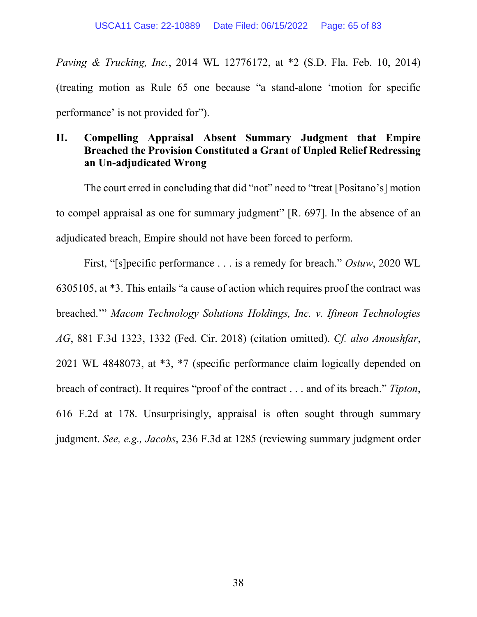*Paving & Trucking, Inc.*, 2014 WL 12776172, at \*2 (S.D. Fla. Feb. 10, 2014) (treating motion as Rule 65 one because "a stand-alone 'motion for specific performance' is not provided for").

# **II. Compelling Appraisal Absent Summary Judgment that Empire Breached the Provision Constituted a Grant of Unpled Relief Redressing an Un-adjudicated Wrong**

The court erred in concluding that did "not" need to "treat [Positano's] motion to compel appraisal as one for summary judgment" [R. 697]. In the absence of an adjudicated breach, Empire should not have been forced to perform.

First, "[s]pecific performance . . . is a remedy for breach." *Ostuw*, 2020 WL 6305105, at \*3. This entails "a cause of action which requires proof the contract was breached.'" *Macom Technology Solutions Holdings, Inc. v. Ifineon Technologies AG*, 881 F.3d 1323, 1332 (Fed. Cir. 2018) (citation omitted). *Cf. also Anoushfar*, 2021 WL 4848073, at \*3, \*7 (specific performance claim logically depended on breach of contract). It requires "proof of the contract . . . and of its breach." *Tipton*, 616 F.2d at 178. Unsurprisingly, appraisal is often sought through summary judgment. *See, e.g., Jacobs*, 236 F.3d at 1285 (reviewing summary judgment order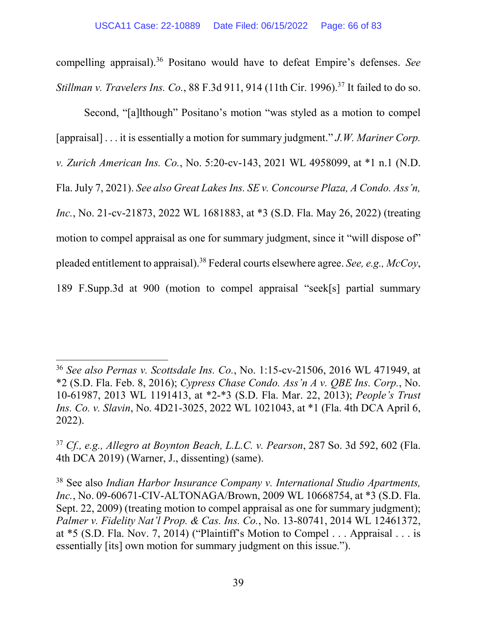compelling appraisal).<sup>36</sup> Positano would have to defeat Empire's defenses. *See Stillman v. Travelers Ins. Co.*, 88 F.3d 911, 914 (11th Cir. 1996).<sup>37</sup> It failed to do so.

Second, "[a]lthough" Positano's motion "was styled as a motion to compel [appraisal] . . . it is essentially a motion for summary judgment." *J.W. Mariner Corp. v. Zurich American Ins. Co.*, No. 5:20-cv-143, 2021 WL 4958099, at \*1 n.1 (N.D. Fla. July 7, 2021). *See also Great Lakes Ins. SE v. Concourse Plaza, A Condo. Ass'n, Inc.*, No. 21-cv-21873, 2022 WL 1681883, at \*3 (S.D. Fla. May 26, 2022) (treating motion to compel appraisal as one for summary judgment, since it "will dispose of" pleaded entitlement to appraisal).<sup>38</sup> Federal courts elsewhere agree. *See, e.g., McCoy*, 189 F.Supp.3d at 900 (motion to compel appraisal "seek[s] partial summary

 $\overline{\phantom{a}}$ 

<sup>36</sup> *See also Pernas v. Scottsdale Ins. Co.*, No. 1:15-cv-21506, 2016 WL 471949, at \*2 (S.D. Fla. Feb. 8, 2016); *Cypress Chase Condo. Ass'n A v. QBE Ins. Corp.*, No. 10-61987, 2013 WL 1191413, at \*2-\*3 (S.D. Fla. Mar. 22, 2013); *People's Trust Ins. Co. v. Slavin*, No. 4D21-3025, 2022 WL 1021043, at \*1 (Fla. 4th DCA April 6, 2022).

<sup>37</sup> *Cf., e.g., Allegro at Boynton Beach, L.L.C. v. Pearson*, 287 So. 3d 592, 602 (Fla. 4th DCA 2019) (Warner, J., dissenting) (same).

<sup>38</sup> See also *Indian Harbor Insurance Company v. International Studio Apartments, Inc.*, No. 09-60671-CIV-ALTONAGA/Brown, 2009 WL 10668754, at \*3 (S.D. Fla. Sept. 22, 2009) (treating motion to compel appraisal as one for summary judgment); *Palmer v. Fidelity Nat'l Prop. & Cas. Ins. Co.*, No. 13-80741, 2014 WL 12461372, at \*5 (S.D. Fla. Nov. 7, 2014) ("Plaintiff's Motion to Compel . . . Appraisal . . . is essentially [its] own motion for summary judgment on this issue.").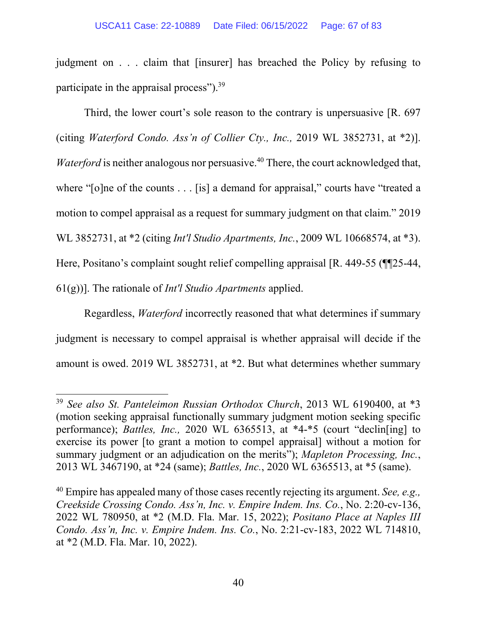judgment on . . . claim that [insurer] has breached the Policy by refusing to participate in the appraisal process").<sup>39</sup>

Third, the lower court's sole reason to the contrary is unpersuasive [R. 697 (citing *Waterford Condo. Ass'n of Collier Cty., Inc.,* 2019 WL 3852731, at \*2)]. *Waterford* is neither analogous nor persuasive.<sup>40</sup> There, the court acknowledged that, where "[o]ne of the counts . . . [is] a demand for appraisal," courts have "treated a motion to compel appraisal as a request for summary judgment on that claim." 2019 WL 3852731, at \*2 (citing *Int'l Studio Apartments, Inc.*, 2009 WL 10668574, at \*3). Here, Positano's complaint sought relief compelling appraisal [R. 449-55 (¶¶25-44, 61(g))]. The rationale of *Int'l Studio Apartments* applied.

Regardless, *Waterford* incorrectly reasoned that what determines if summary judgment is necessary to compel appraisal is whether appraisal will decide if the amount is owed. 2019 WL 3852731, at \*2. But what determines whether summary

<sup>39</sup> *See also St. Panteleimon Russian Orthodox Church*, 2013 WL 6190400, at \*3 (motion seeking appraisal functionally summary judgment motion seeking specific performance); *Battles, Inc.,* 2020 WL 6365513, at \*4-\*5 (court "declin[ing] to exercise its power [to grant a motion to compel appraisal] without a motion for summary judgment or an adjudication on the merits"); *Mapleton Processing, Inc.*, 2013 WL 3467190, at \*24 (same); *Battles, Inc.*, 2020 WL 6365513, at \*5 (same).

<sup>40</sup> Empire has appealed many of those cases recently rejecting its argument. *See, e.g., Creekside Crossing Condo. Ass'n, Inc. v. Empire Indem. Ins. Co.*, No. 2:20-cv-136, 2022 WL 780950, at \*2 (M.D. Fla. Mar. 15, 2022); *Positano Place at Naples III Condo. Ass'n, Inc. v. Empire Indem. Ins. Co.*, No. 2:21-cv-183, 2022 WL 714810, at \*2 (M.D. Fla. Mar. 10, 2022).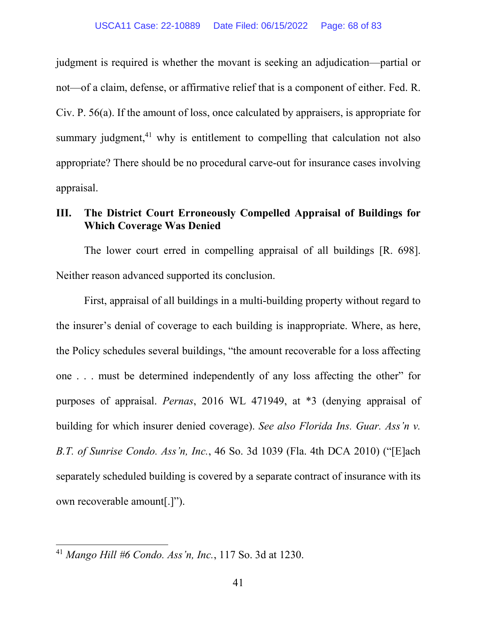judgment is required is whether the movant is seeking an adjudication—partial or not—of a claim, defense, or affirmative relief that is a component of either. Fed. R. Civ. P. 56(a). If the amount of loss, once calculated by appraisers, is appropriate for summary judgment, $41$  why is entitlement to compelling that calculation not also appropriate? There should be no procedural carve-out for insurance cases involving appraisal.

# **III. The District Court Erroneously Compelled Appraisal of Buildings for Which Coverage Was Denied**

The lower court erred in compelling appraisal of all buildings [R. 698]. Neither reason advanced supported its conclusion.

First, appraisal of all buildings in a multi-building property without regard to the insurer's denial of coverage to each building is inappropriate. Where, as here, the Policy schedules several buildings, "the amount recoverable for a loss affecting one . . . must be determined independently of any loss affecting the other" for purposes of appraisal. *Pernas*, 2016 WL 471949, at \*3 (denying appraisal of building for which insurer denied coverage). *See also Florida Ins. Guar. Ass'n v. B.T. of Sunrise Condo. Ass'n, Inc.*, 46 So. 3d 1039 (Fla. 4th DCA 2010) ("[E]ach separately scheduled building is covered by a separate contract of insurance with its own recoverable amount[.]").

l

<sup>41</sup> *Mango Hill #6 Condo. Ass'n, Inc.*, 117 So. 3d at 1230.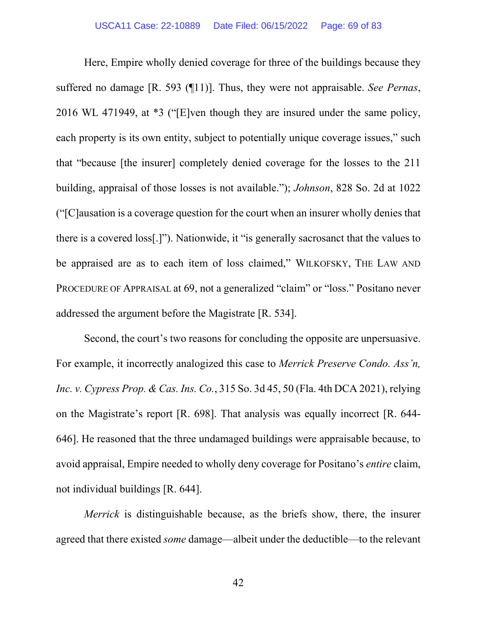Here, Empire wholly denied coverage for three of the buildings because they suffered no damage [R. 593 (¶11)]. Thus, they were not appraisable. *See Pernas*, 2016 WL 471949, at \*3 ("[E]ven though they are insured under the same policy, each property is its own entity, subject to potentially unique coverage issues," such that "because [the insurer] completely denied coverage for the losses to the 211 building, appraisal of those losses is not available."); *Johnson*, 828 So. 2d at 1022 ("[C]ausation is a coverage question for the court when an insurer wholly denies that there is a covered loss[.]"). Nationwide, it "is generally sacrosanct that the values to be appraised are as to each item of loss claimed," WILKOFSKY, THE LAW AND PROCEDURE OF APPRAISAL at 69, not a generalized "claim" or "loss." Positano never addressed the argument before the Magistrate [R. 534].

Second, the court's two reasons for concluding the opposite are unpersuasive. For example, it incorrectly analogized this case to *Merrick Preserve Condo. Ass'n, Inc. v. Cypress Prop. & Cas. Ins. Co.*, 315 So. 3d 45, 50 (Fla. 4th DCA 2021), relying on the Magistrate's report [R. 698]. That analysis was equally incorrect [R. 644- 646]. He reasoned that the three undamaged buildings were appraisable because, to avoid appraisal, Empire needed to wholly deny coverage for Positano's *entire* claim, not individual buildings [R. 644].

*Merrick* is distinguishable because, as the briefs show, there, the insurer agreed that there existed *some* damage—albeit under the deductible—to the relevant

42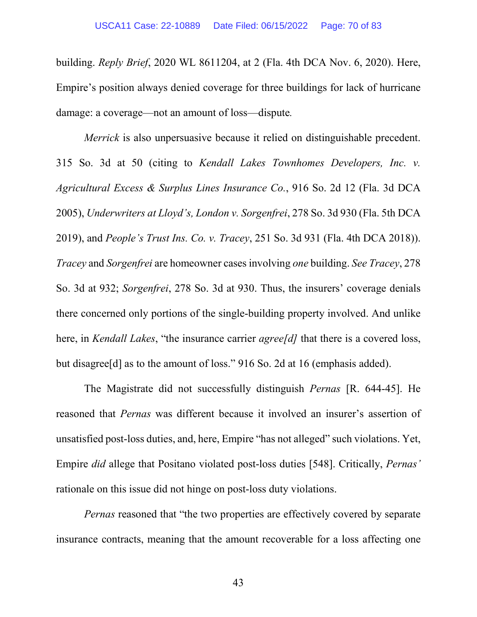building. *Reply Brief*, 2020 WL 8611204, at 2 (Fla. 4th DCA Nov. 6, 2020). Here, Empire's position always denied coverage for three buildings for lack of hurricane damage: a coverage—not an amount of loss—dispute*.*

*Merrick* is also unpersuasive because it relied on distinguishable precedent. 315 So. 3d at 50 (citing to *Kendall Lakes Townhomes Developers, Inc. v. Agricultural Excess & Surplus Lines Insurance Co.*, 916 So. 2d 12 (Fla. 3d DCA 2005), *Underwriters at Lloyd's, London v. Sorgenfrei*, 278 So. 3d 930 (Fla. 5th DCA 2019), and *People's Trust Ins. Co. v. Tracey*, 251 So. 3d 931 (Fla. 4th DCA 2018)). *Tracey* and *Sorgenfrei* are homeowner cases involving *one* building. *See Tracey*, 278 So. 3d at 932; *Sorgenfrei*, 278 So. 3d at 930. Thus, the insurers' coverage denials there concerned only portions of the single-building property involved. And unlike here, in *Kendall Lakes*, "the insurance carrier *agree[d]* that there is a covered loss, but disagree[d] as to the amount of loss." 916 So. 2d at 16 (emphasis added).

The Magistrate did not successfully distinguish *Pernas* [R. 644-45]. He reasoned that *Pernas* was different because it involved an insurer's assertion of unsatisfied post-loss duties, and, here, Empire "has not alleged" such violations. Yet, Empire *did* allege that Positano violated post-loss duties [548]. Critically, *Pernas'* rationale on this issue did not hinge on post-loss duty violations.

*Pernas* reasoned that "the two properties are effectively covered by separate insurance contracts, meaning that the amount recoverable for a loss affecting one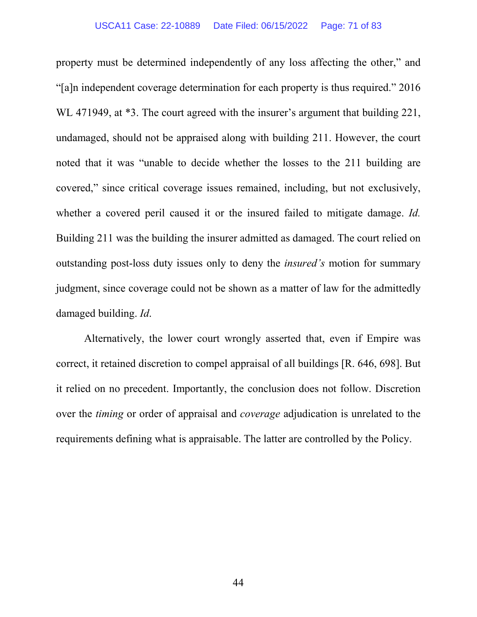property must be determined independently of any loss affecting the other," and "[a]n independent coverage determination for each property is thus required." 2016 WL 471949, at  $*3$ . The court agreed with the insurer's argument that building 221, undamaged, should not be appraised along with building 211. However, the court noted that it was "unable to decide whether the losses to the 211 building are covered," since critical coverage issues remained, including, but not exclusively, whether a covered peril caused it or the insured failed to mitigate damage. *Id.*  Building 211 was the building the insurer admitted as damaged. The court relied on outstanding post-loss duty issues only to deny the *insured's* motion for summary judgment, since coverage could not be shown as a matter of law for the admittedly damaged building. *Id*.

Alternatively, the lower court wrongly asserted that, even if Empire was correct, it retained discretion to compel appraisal of all buildings [R. 646, 698]. But it relied on no precedent. Importantly, the conclusion does not follow. Discretion over the *timing* or order of appraisal and *coverage* adjudication is unrelated to the requirements defining what is appraisable. The latter are controlled by the Policy.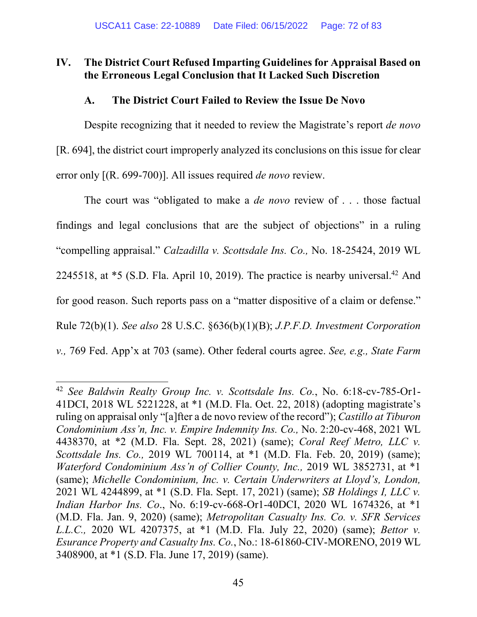# **IV. The District Court Refused Imparting Guidelines for Appraisal Based on the Erroneous Legal Conclusion that It Lacked Such Discretion**

## **A. The District Court Failed to Review the Issue De Novo**

Despite recognizing that it needed to review the Magistrate's report *de novo* [R. 694], the district court improperly analyzed its conclusions on this issue for clear error only [(R. 699-700)]. All issues required *de novo* review.

The court was "obligated to make a *de novo* review of . . . those factual findings and legal conclusions that are the subject of objections" in a ruling "compelling appraisal." *Calzadilla v. Scottsdale Ins. Co.,* No. 18-25424, 2019 WL 2245518, at  $*$ 5 (S.D. Fla. April 10, 2019). The practice is nearby universal.<sup>42</sup> And for good reason. Such reports pass on a "matter dispositive of a claim or defense." Rule 72(b)(1). *See also* 28 U.S.C. §636(b)(1)(B); *J.P.F.D. Investment Corporation v.,* 769 Fed. App'x at 703 (same). Other federal courts agree. *See, e.g., State Farm* 

l

<sup>42</sup> *See Baldwin Realty Group Inc. v. Scottsdale Ins. Co.*, No. 6:18-cv-785-Or1- 41DCI, 2018 WL 5221228, at \*1 (M.D. Fla. Oct. 22, 2018) (adopting magistrate's ruling on appraisal only "[a]fter a de novo review of the record"); *Castillo at Tiburon Condominium Ass'n, Inc. v. Empire Indemnity Ins. Co.,* No. 2:20-cv-468, 2021 WL 4438370, at \*2 (M.D. Fla. Sept. 28, 2021) (same); *Coral Reef Metro, LLC v. Scottsdale Ins. Co.,* 2019 WL 700114, at \*1 (M.D. Fla. Feb. 20, 2019) (same); *Waterford Condominium Ass'n of Collier County, Inc.,* 2019 WL 3852731, at \*1 (same); *Michelle Condominium, Inc. v. Certain Underwriters at Lloyd's, London,*  2021 WL 4244899, at \*1 (S.D. Fla. Sept. 17, 2021) (same); *SB Holdings I, LLC v. Indian Harbor Ins. Co*., No. 6:19-cv-668-Or1-40DCI, 2020 WL 1674326, at \*1 (M.D. Fla. Jan. 9, 2020) (same); *Metropolitan Casualty Ins. Co. v. SFR Services L.L.C.,* 2020 WL 4207375, at \*1 (M.D. Fla. July 22, 2020) (same); *Bettor v. Esurance Property and Casualty Ins. Co.*, No.: 18-61860-CIV-MORENO, 2019 WL 3408900, at \*1 (S.D. Fla. June 17, 2019) (same).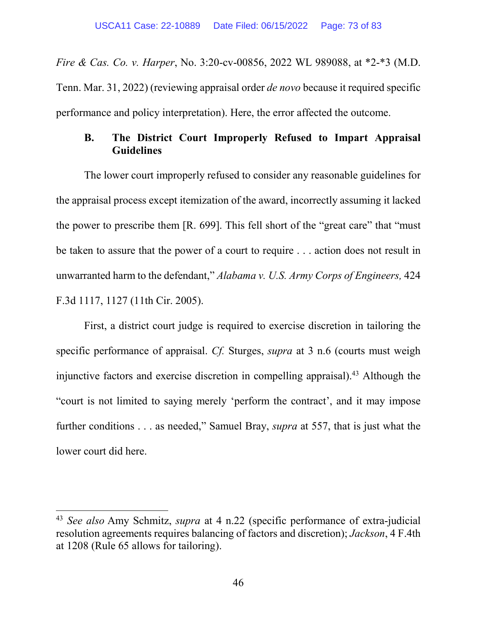*Fire & Cas. Co. v. Harper*, No. 3:20-cv-00856, 2022 WL 989088, at \*2-\*3 (M.D. Tenn. Mar. 31, 2022) (reviewing appraisal order *de novo* because it required specific performance and policy interpretation). Here, the error affected the outcome.

### **B. The District Court Improperly Refused to Impart Appraisal Guidelines**

The lower court improperly refused to consider any reasonable guidelines for the appraisal process except itemization of the award, incorrectly assuming it lacked the power to prescribe them [R. 699]. This fell short of the "great care" that "must be taken to assure that the power of a court to require . . . action does not result in unwarranted harm to the defendant," *Alabama v. U.S. Army Corps of Engineers,* 424 F.3d 1117, 1127 (11th Cir. 2005).

First, a district court judge is required to exercise discretion in tailoring the specific performance of appraisal. *Cf.* Sturges, *supra* at 3 n.6 (courts must weigh injunctive factors and exercise discretion in compelling appraisal).<sup>43</sup> Although the "court is not limited to saying merely 'perform the contract', and it may impose further conditions . . . as needed," Samuel Bray, *supra* at 557, that is just what the lower court did here.

<sup>43</sup> *See also* Amy Schmitz, *supra* at 4 n.22 (specific performance of extra-judicial resolution agreements requires balancing of factors and discretion); *Jackson*, 4 F.4th at 1208 (Rule 65 allows for tailoring).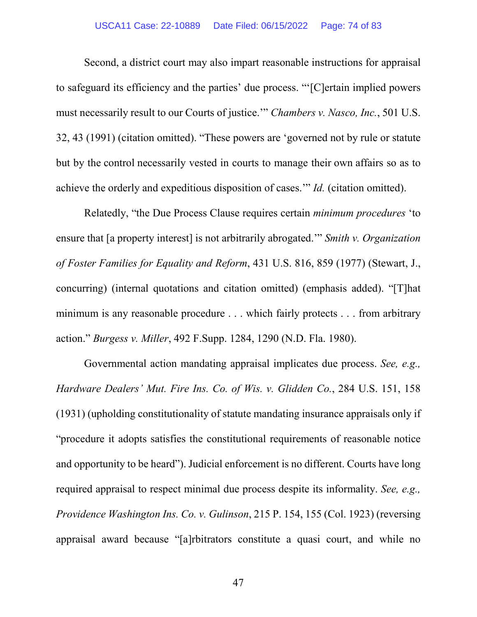#### USCA11 Case: 22-10889 Date Filed: 06/15/2022 Page: 74 of 83

Second, a district court may also impart reasonable instructions for appraisal to safeguard its efficiency and the parties' due process. "'[C]ertain implied powers must necessarily result to our Courts of justice.'" *Chambers v. Nasco, Inc.*, 501 U.S. 32, 43 (1991) (citation omitted). "These powers are 'governed not by rule or statute but by the control necessarily vested in courts to manage their own affairs so as to achieve the orderly and expeditious disposition of cases.'" *Id.* (citation omitted).

Relatedly, "the Due Process Clause requires certain *minimum procedures* 'to ensure that [a property interest] is not arbitrarily abrogated.'" *Smith v. Organization of Foster Families for Equality and Reform*, 431 U.S. 816, 859 (1977) (Stewart, J., concurring) (internal quotations and citation omitted) (emphasis added). "[T]hat minimum is any reasonable procedure . . . which fairly protects . . . from arbitrary action." *Burgess v. Miller*, 492 F.Supp. 1284, 1290 (N.D. Fla. 1980).

Governmental action mandating appraisal implicates due process. *See, e.g., Hardware Dealers' Mut. Fire Ins. Co. of Wis. v. Glidden Co.*, 284 U.S. 151, 158 (1931) (upholding constitutionality of statute mandating insurance appraisals only if "procedure it adopts satisfies the constitutional requirements of reasonable notice and opportunity to be heard"). Judicial enforcement is no different. Courts have long required appraisal to respect minimal due process despite its informality. *See, e.g., Providence Washington Ins. Co. v. Gulinson*, 215 P. 154, 155 (Col. 1923) (reversing appraisal award because "[a]rbitrators constitute a quasi court, and while no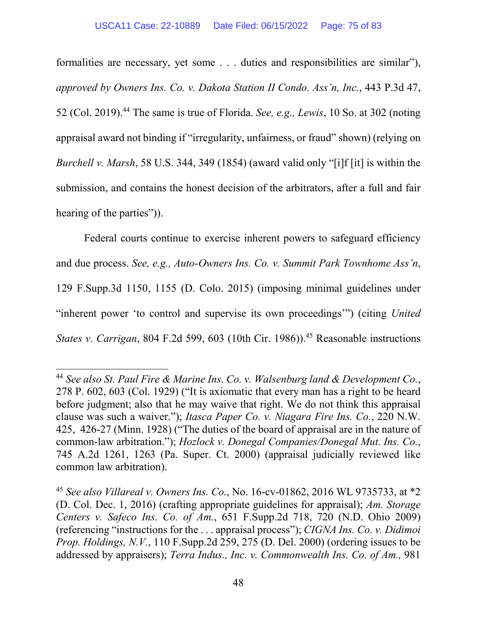formalities are necessary, yet some . . . duties and responsibilities are similar"), *approved by Owners Ins. Co. v. Dakota Station II Condo. Ass'n, Inc.*, 443 P.3d 47, 52 (Col. 2019).<sup>44</sup> The same is true of Florida. *See, e.g., Lewis*, 10 So. at 302 (noting appraisal award not binding if "irregularity, unfairness, or fraud" shown) (relying on *Burchell v. Marsh*, 58 U.S. 344, 349 (1854) (award valid only "[i]f [it] is within the submission, and contains the honest decision of the arbitrators, after a full and fair hearing of the parties")).

Federal courts continue to exercise inherent powers to safeguard efficiency and due process. *See, e.g., Auto-Owners Ins. Co. v. Summit Park Townhome Ass'n*, 129 F.Supp.3d 1150, 1155 (D. Colo. 2015) (imposing minimal guidelines under "inherent power 'to control and supervise its own proceedings'") (citing *United States v. Carrigan*, 804 F.2d 599, 603 (10th Cir. 1986)).<sup>45</sup> Reasonable instructions

l

<sup>44</sup> *See also St. Paul Fire & Marine Ins. Co. v. Walsenburg land & Development Co.*, 278 P. 602, 603 (Col. 1929) ("It is axiomatic that every man has a right to be heard before judgment; also that he may waive that right. We do not think this appraisal clause was such a waiver."); *Itasca Paper Co. v. Niagara Fire Ins. Co.*, 220 N.W. 425, 426-27 (Minn. 1928) ("The duties of the board of appraisal are in the nature of common-law arbitration."); *Hozlock v. Donegal Companies/Donegal Mut. Ins. Co.*, 745 A.2d 1261, 1263 (Pa. Super. Ct. 2000) (appraisal judicially reviewed like common law arbitration).

<sup>45</sup> *See also Villareal v. Owners Ins. Co.*, No. 16-cv-01862, 2016 WL 9735733, at \*2 (D. Col. Dec. 1, 2016) (crafting appropriate guidelines for appraisal); *Am. Storage Centers v. Safeco Ins. Co. of Am.*, 651 F.Supp.2d 718, 720 (N.D. Ohio 2009) (referencing "instructions for the . . . appraisal process"); *CIGNA Ins. Co. v. Didimoi Prop. Holdings, N.V.*, 110 F.Supp.2d 259, 275 (D. Del. 2000) (ordering issues to be addressed by appraisers); *Terra Indus., Inc. v. Commonwealth Ins. Co. of Am.,* 981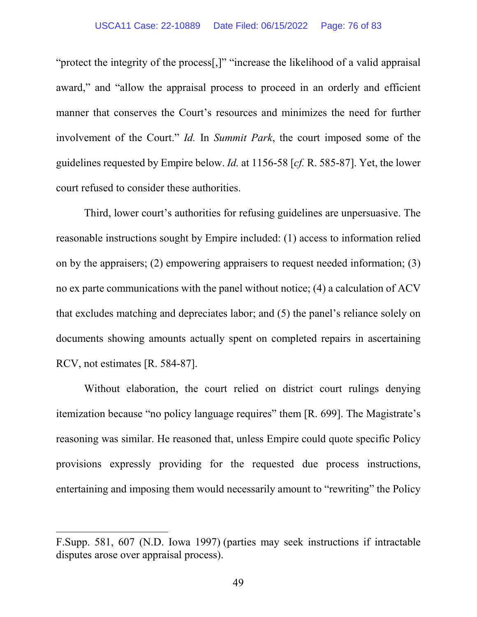"protect the integrity of the process[,]" "increase the likelihood of a valid appraisal award," and "allow the appraisal process to proceed in an orderly and efficient manner that conserves the Court's resources and minimizes the need for further involvement of the Court." *Id.* In *Summit Park*, the court imposed some of the guidelines requested by Empire below. *Id.* at 1156-58 [*cf.* R. 585-87]. Yet, the lower court refused to consider these authorities.

Third, lower court's authorities for refusing guidelines are unpersuasive. The reasonable instructions sought by Empire included: (1) access to information relied on by the appraisers; (2) empowering appraisers to request needed information; (3) no ex parte communications with the panel without notice; (4) a calculation of ACV that excludes matching and depreciates labor; and (5) the panel's reliance solely on documents showing amounts actually spent on completed repairs in ascertaining RCV, not estimates [R. 584-87].

Without elaboration, the court relied on district court rulings denying itemization because "no policy language requires" them [R. 699]. The Magistrate's reasoning was similar. He reasoned that, unless Empire could quote specific Policy provisions expressly providing for the requested due process instructions, entertaining and imposing them would necessarily amount to "rewriting" the Policy

F.Supp. 581, 607 (N.D. Iowa 1997) (parties may seek instructions if intractable disputes arose over appraisal process).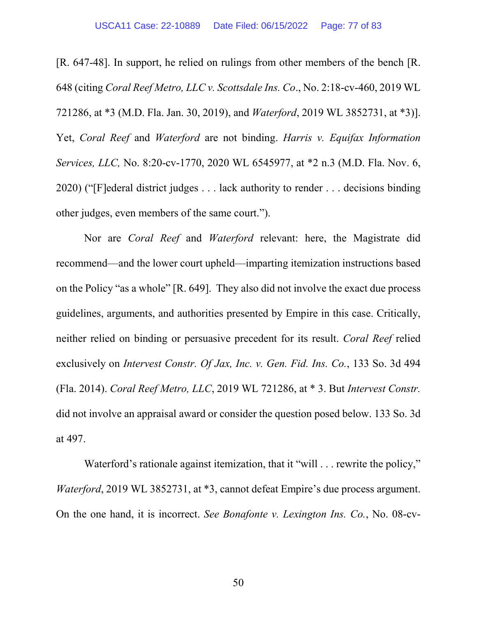[R. 647-48]. In support, he relied on rulings from other members of the bench [R. 648 (citing *Coral Reef Metro, LLC v. Scottsdale Ins. Co*., No. 2:18-cv-460, 2019 WL 721286, at \*3 (M.D. Fla. Jan. 30, 2019), and *Waterford*, 2019 WL 3852731, at \*3)]. Yet, *Coral Reef* and *Waterford* are not binding. *Harris v. Equifax Information Services, LLC,* No. 8:20-cv-1770, 2020 WL 6545977, at \*2 n.3 (M.D. Fla. Nov. 6, 2020) ("[F]ederal district judges . . . lack authority to render . . . decisions binding other judges, even members of the same court.").

Nor are *Coral Reef* and *Waterford* relevant: here, the Magistrate did recommend—and the lower court upheld—imparting itemization instructions based on the Policy "as a whole" [R. 649]. They also did not involve the exact due process guidelines, arguments, and authorities presented by Empire in this case. Critically, neither relied on binding or persuasive precedent for its result. *Coral Reef* relied exclusively on *Intervest Constr. Of Jax, Inc. v. Gen. Fid. Ins. Co.*, 133 So. 3d 494 (Fla. 2014). *Coral Reef Metro, LLC*, 2019 WL 721286, at \* 3. But *Intervest Constr.* did not involve an appraisal award or consider the question posed below. 133 So. 3d at 497.

Waterford's rationale against itemization, that it "will . . . rewrite the policy," *Waterford*, 2019 WL 3852731, at  $*3$ , cannot defeat Empire's due process argument. On the one hand, it is incorrect. *See Bonafonte v. Lexington Ins. Co.*, No. 08-cv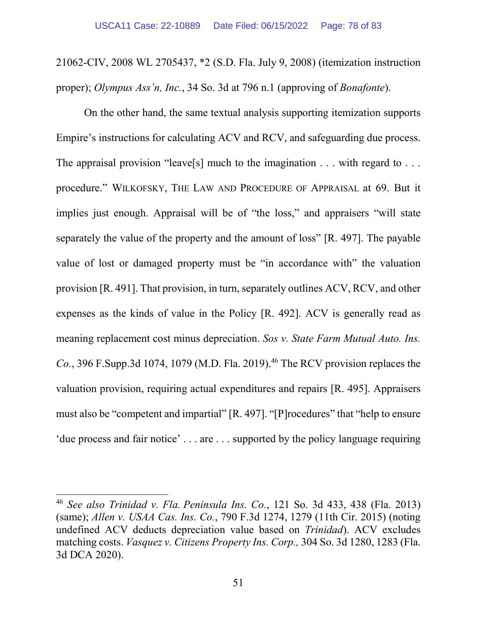21062-CIV, 2008 WL 2705437, \*2 (S.D. Fla. July 9, 2008) (itemization instruction proper); *Olympus Ass'n, Inc.*, 34 So. 3d at 796 n.1 (approving of *Bonafonte*).

On the other hand, the same textual analysis supporting itemization supports Empire's instructions for calculating ACV and RCV, and safeguarding due process. The appraisal provision "leave<sup>[s]</sup> much to the imagination  $\dots$  with regard to  $\dots$ procedure." WILKOFSKY, THE LAW AND PROCEDURE OF APPRAISAL at 69. But it implies just enough. Appraisal will be of "the loss," and appraisers "will state separately the value of the property and the amount of loss" [R. 497]. The payable value of lost or damaged property must be "in accordance with" the valuation provision [R. 491]. That provision, in turn, separately outlines ACV, RCV, and other expenses as the kinds of value in the Policy [R. 492]. ACV is generally read as meaning replacement cost minus depreciation. *Sos v. State Farm Mutual Auto. Ins.*   $Co.$ , 396 F.Supp.3d 1074, 1079 (M.D. Fla. 2019).<sup>46</sup> The RCV provision replaces the valuation provision, requiring actual expenditures and repairs [R. 495]. Appraisers must also be "competent and impartial" [R. 497]. "[P]rocedures" that "help to ensure 'due process and fair notice' . . . are . . . supported by the policy language requiring

<sup>46</sup> *See also Trinidad v. Fla. Peninsula Ins. Co.*, 121 So. 3d 433, 438 (Fla. 2013) (same); *Allen v. USAA Cas. Ins. Co.*, 790 F.3d 1274, 1279 (11th Cir. 2015) (noting undefined ACV deducts depreciation value based on *Trinidad*). ACV excludes matching costs. *Vasquez v. Citizens Property Ins. Corp.,* 304 So. 3d 1280, 1283 (Fla. 3d DCA 2020).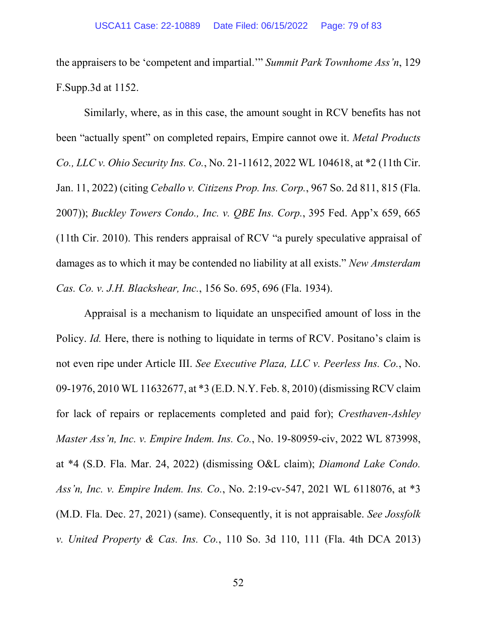the appraisers to be 'competent and impartial.'" *Summit Park Townhome Ass'n*, 129 F.Supp.3d at 1152.

Similarly, where, as in this case, the amount sought in RCV benefits has not been "actually spent" on completed repairs, Empire cannot owe it. *Metal Products Co., LLC v. Ohio Security Ins. Co.*, No. 21-11612, 2022 WL 104618, at \*2 (11th Cir. Jan. 11, 2022) (citing *Ceballo v. Citizens Prop. Ins. Corp.*, 967 So. 2d 811, 815 (Fla. 2007)); *Buckley Towers Condo., Inc. v. QBE Ins. Corp.*, 395 Fed. App'x 659, 665 (11th Cir. 2010). This renders appraisal of RCV "a purely speculative appraisal of damages as to which it may be contended no liability at all exists." *New Amsterdam Cas. Co. v. J.H. Blackshear, Inc.*, 156 So. 695, 696 (Fla. 1934).

Appraisal is a mechanism to liquidate an unspecified amount of loss in the Policy. *Id.* Here, there is nothing to liquidate in terms of RCV. Positano's claim is not even ripe under Article III. *See Executive Plaza, LLC v. Peerless Ins. Co.*, No. 09-1976, 2010 WL 11632677, at \*3 (E.D. N.Y. Feb. 8, 2010) (dismissing RCV claim for lack of repairs or replacements completed and paid for); *Cresthaven-Ashley Master Ass'n, Inc. v. Empire Indem. Ins. Co.*, No. 19-80959-civ, 2022 WL 873998, at \*4 (S.D. Fla. Mar. 24, 2022) (dismissing O&L claim); *Diamond Lake Condo. Ass'n, Inc. v. Empire Indem. Ins. Co.*, No. 2:19-cv-547, 2021 WL 6118076, at \*3 (M.D. Fla. Dec. 27, 2021) (same). Consequently, it is not appraisable. *See Jossfolk v. United Property & Cas. Ins. Co.*, 110 So. 3d 110, 111 (Fla. 4th DCA 2013)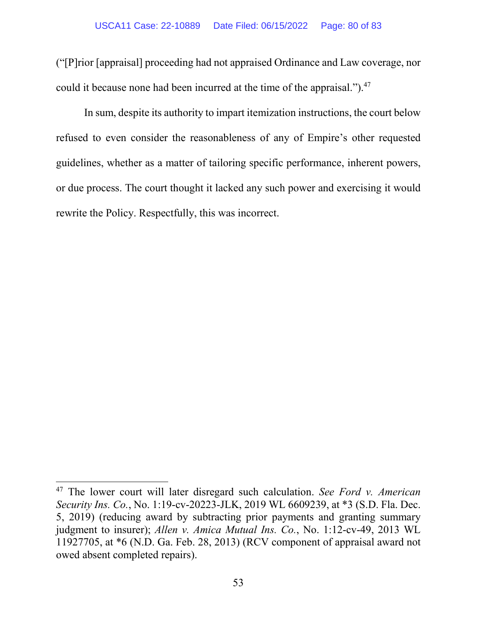("[P]rior [appraisal] proceeding had not appraised Ordinance and Law coverage, nor could it because none had been incurred at the time of the appraisal." $^{1,47}$ 

In sum, despite its authority to impart itemization instructions, the court below refused to even consider the reasonableness of any of Empire's other requested guidelines, whether as a matter of tailoring specific performance, inherent powers, or due process. The court thought it lacked any such power and exercising it would rewrite the Policy. Respectfully, this was incorrect.

<sup>47</sup> The lower court will later disregard such calculation. *See Ford v. American Security Ins. Co.*, No. 1:19-cv-20223-JLK, 2019 WL 6609239, at \*3 (S.D. Fla. Dec. 5, 2019) (reducing award by subtracting prior payments and granting summary judgment to insurer); *Allen v. Amica Mutual Ins. Co.*, No. 1:12-cv-49, 2013 WL 11927705, at \*6 (N.D. Ga. Feb. 28, 2013) (RCV component of appraisal award not owed absent completed repairs).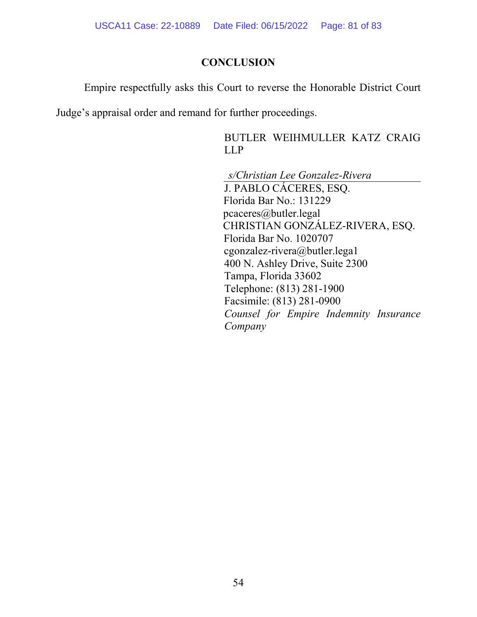### **CONCLUSION**

Empire respectfully asks this Court to reverse the Honorable District Court

Judge's appraisal order and remand for further proceedings.

BUTLER WEIHMULLER KATZ CRAIG LLP

*s/Christian Lee Gonzalez-Rivera* 

J. PABLO CÁCERES, ESQ. Florida Bar No.: 131229 pcaceres@butler.legal CHRISTIAN GONZÁLEZ-RIVERA, ESQ. Florida Bar No. 1020707 cgonzalez-rivera@butler.lega1 400 N. Ashley Drive, Suite 2300 Tampa, Florida 33602 Telephone: (813) 281-1900 Facsimile: (813) 281-0900 *Counsel for Empire Indemnity Insurance Company*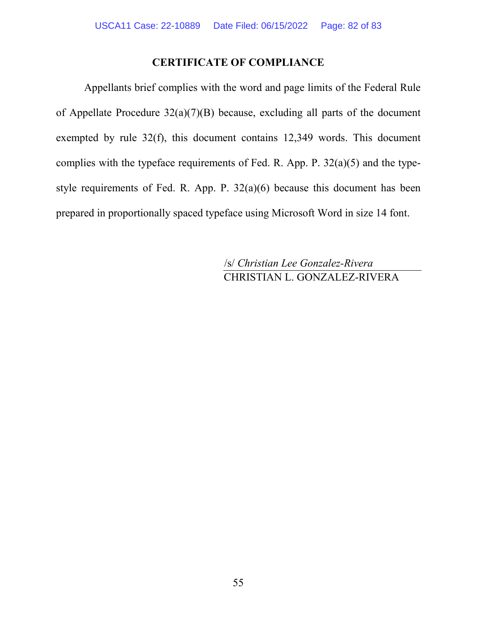## **CERTIFICATE OF COMPLIANCE**

Appellants brief complies with the word and page limits of the Federal Rule of Appellate Procedure  $32(a)(7)(B)$  because, excluding all parts of the document exempted by rule 32(f), this document contains 12,349 words. This document complies with the typeface requirements of Fed. R. App. P. 32(a)(5) and the typestyle requirements of Fed. R. App. P. 32(a)(6) because this document has been prepared in proportionally spaced typeface using Microsoft Word in size 14 font.

> /s/ *Christian Lee Gonzalez-Rivera* CHRISTIAN L. GONZALEZ-RIVERA